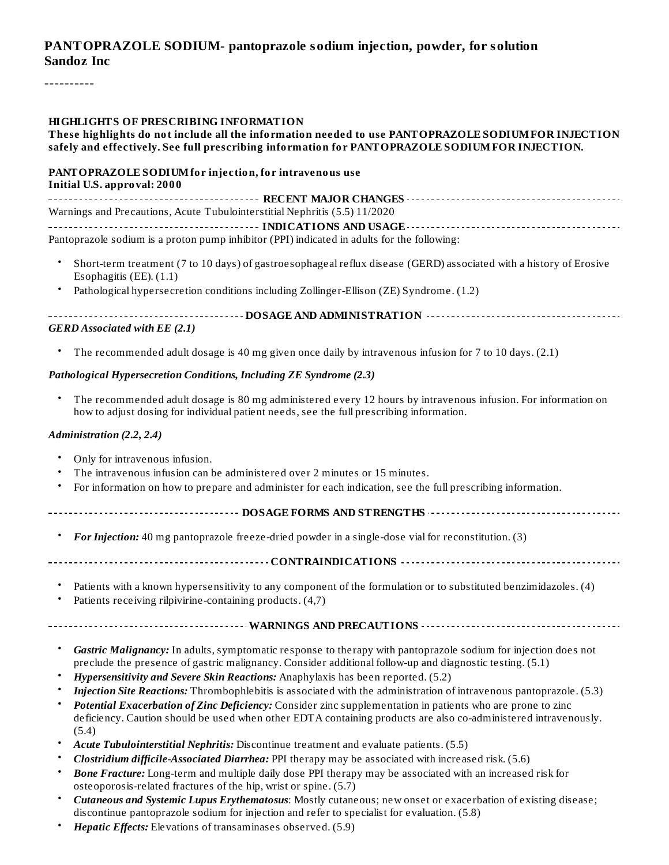#### **PANTOPRAZOLE SODIUM- pantoprazole sodium injection, powder, for solution Sandoz Inc**

----------

#### **HIGHLIGHTS OF PRESCRIBING INFORMATION**

#### **These highlights do not include all the information needed to use PANTOPRAZOLE SODIUMFOR INJECTION safely and effectively. See full prescribing information for PANTOPRAZOLE SODIUMFOR INJECTION.**

#### **PANTOPRAZOLE SODIUMfor injection, for intravenous use Initial U.S. approval: 2000**

**RECENT MAJOR CHANGES** Warnings and Precautions, Acute Tubulointerstitial Nephritis (5.5) 11/2020 **INDICATIONS AND USAGE** Pantoprazole sodium is a proton pump inhibitor (PPI) indicated in adults for the following:

- Short-term treatment (7 to 10 days) of gastroesophageal reflux disease (GERD) associated with a history of Erosive Esophagitis (EE). (1.1)
- Pathological hypersecretion conditions including Zollinger-Ellison (ZE) Syndrome. (1.2)

| <b>GERD</b> Associated with EE (2.1) |
|--------------------------------------|

• The recommended adult dosage is 40 mg given once daily by intravenous infusion for 7 to 10 days. (2.1)

#### *Pathological Hypersecretion Conditions, Including ZE Syndrome (2.3)*

• The recommended adult dosage is 80 mg administered every 12 hours by intravenous infusion. For information on how to adjust dosing for individual patient needs, see the full prescribing information.

#### *Administration (2.2, 2.4)*

- Only for intravenous infusion.
- The intravenous infusion can be administered over 2 minutes or 15 minutes.
- For information on how to prepare and administer for each indication, see the full prescribing information.
- **DOSAGE FORMS AND STRENGTHS**
	- *For Injection:* 40 mg pantoprazole freeze-dried powder in a single-dose vial for reconstitution. (3)
- **CONTRAINDICATIONS**
	- Patients with a known hypersensitivity to any component of the formulation or to substituted benzimidazoles. (4)
	- Patients receiving rilpivirine-containing products. (4,7)

**WARNINGS AND PRECAUTIONS**

- *Gastric Malignancy:* In adults, symptomatic response to therapy with pantoprazole sodium for injection does not preclude the presence of gastric malignancy. Consider additional follow-up and diagnostic testing. (5.1)
- *Hypersensitivity and Severe Skin Reactions:* Anaphylaxis has been reported. (5.2)
- *Injection Site Reactions:* Thrombophlebitis is associated with the administration of intravenous pantoprazole. (5.3)
- *Potential Exacerbation of Zinc Deficiency:* Consider zinc supplementation in patients who are prone to zinc deficiency. Caution should be used when other EDTA containing products are also co-administered intravenously. (5.4)
- *Acute Tubulointerstitial Nephritis:* Discontinue treatment and evaluate patients. (5.5)
- *Clostridium difficile-Associated Diarrhea:* PPI therapy may be associated with increased risk. (5.6)
- *Bone Fracture:* Long-term and multiple daily dose PPI therapy may be associated with an increased risk for osteoporosis-related fractures of the hip, wrist or spine. (5.7)
- *Cutaneous and Systemic Lupus Erythematosus*: Mostly cutaneous; new onset or exacerbation of existing disease; discontinue pantoprazole sodium for injection and refer to specialist for evaluation. (5.8)
- *Hepatic Effects:* Elevations of transaminases observed. (5.9)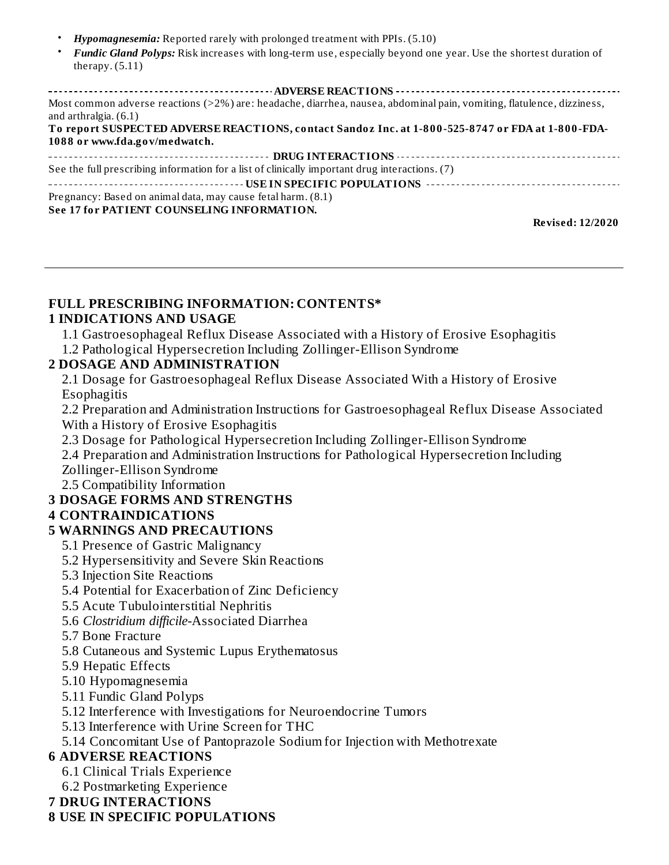- *Hypomagnesemia:* Reported rarely with prolonged treatment with PPIs. (5.10)
- *Fundic Gland Polyps:* Risk increases with long-term use, especially beyond one year. Use the shortest duration of therapy. (5.11)

#### **Revised: 12/2020**

#### **FULL PRESCRIBING INFORMATION: CONTENTS\***

#### **1 INDICATIONS AND USAGE**

1.1 Gastroesophageal Reflux Disease Associated with a History of Erosive Esophagitis

1.2 Pathological Hypersecretion Including Zollinger-Ellison Syndrome

#### **2 DOSAGE AND ADMINISTRATION**

2.1 Dosage for Gastroesophageal Reflux Disease Associated With a History of Erosive Esophagitis

2.2 Preparation and Administration Instructions for Gastroesophageal Reflux Disease Associated With a History of Erosive Esophagitis

2.3 Dosage for Pathological Hypersecretion Including Zollinger-Ellison Syndrome

2.4 Preparation and Administration Instructions for Pathological Hypersecretion Including Zollinger-Ellison Syndrome

2.5 Compatibility Information

#### **3 DOSAGE FORMS AND STRENGTHS**

#### **4 CONTRAINDICATIONS**

#### **5 WARNINGS AND PRECAUTIONS**

- 5.1 Presence of Gastric Malignancy
- 5.2 Hypersensitivity and Severe Skin Reactions
- 5.3 Injection Site Reactions
- 5.4 Potential for Exacerbation of Zinc Deficiency
- 5.5 Acute Tubulointerstitial Nephritis
- 5.6 *Clostridium difficile-*Associated Diarrhea
- 5.7 Bone Fracture
- 5.8 Cutaneous and Systemic Lupus Erythematosus
- 5.9 Hepatic Effects
- 5.10 Hypomagnesemia
- 5.11 Fundic Gland Polyps
- 5.12 Interference with Investigations for Neuroendocrine Tumors
- 5.13 Interference with Urine Screen for THC

5.14 Concomitant Use of Pantoprazole Sodium for Injection with Methotrexate

#### **6 ADVERSE REACTIONS**

- 6.1 Clinical Trials Experience
- 6.2 Postmarketing Experience

#### **7 DRUG INTERACTIONS**

#### **8 USE IN SPECIFIC POPULATIONS**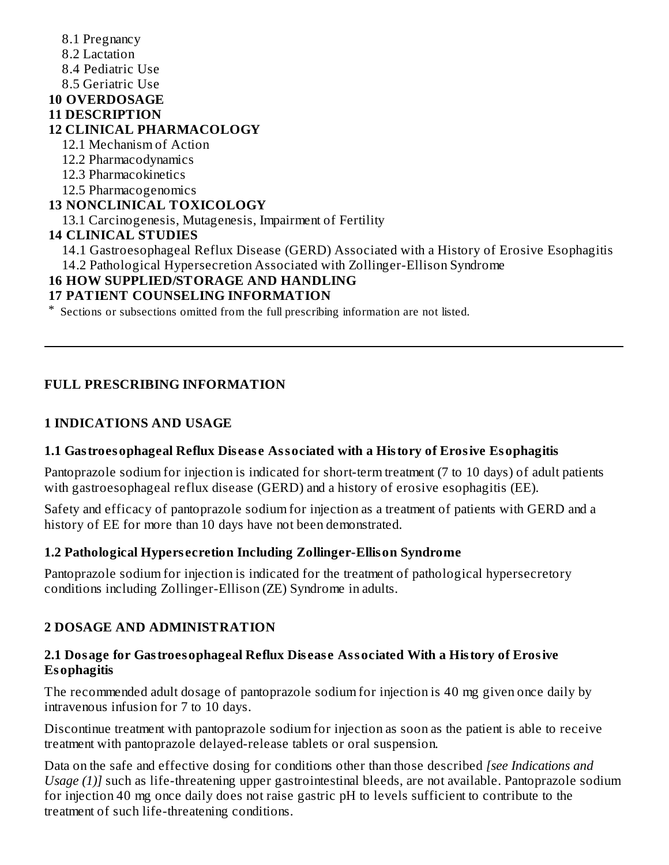8.1 Pregnancy 8.2 Lactation 8.4 Pediatric Use 8.5 Geriatric Use **10 OVERDOSAGE 11 DESCRIPTION 12 CLINICAL PHARMACOLOGY** 12.1 Mechanism of Action 12.2 Pharmacodynamics 12.3 Pharmacokinetics 12.5 Pharmacogenomics **13 NONCLINICAL TOXICOLOGY** 13.1 Carcinogenesis, Mutagenesis, Impairment of Fertility **14 CLINICAL STUDIES** 14.1 Gastroesophageal Reflux Disease (GERD) Associated with a History of Erosive Esophagitis 14.2 Pathological Hypersecretion Associated with Zollinger-Ellison Syndrome **16 HOW SUPPLIED/STORAGE AND HANDLING 17 PATIENT COUNSELING INFORMATION**

\* Sections or subsections omitted from the full prescribing information are not listed.

#### **FULL PRESCRIBING INFORMATION**

#### **1 INDICATIONS AND USAGE**

#### **1.1 Gastroesophageal Reflux Dis eas e Associated with a History of Erosive Esophagitis**

Pantoprazole sodium for injection is indicated for short-term treatment (7 to 10 days) of adult patients with gastroesophageal reflux disease (GERD) and a history of erosive esophagitis (EE).

Safety and efficacy of pantoprazole sodium for injection as a treatment of patients with GERD and a history of EE for more than 10 days have not been demonstrated.

#### **1.2 Pathological Hypers ecretion Including Zollinger-Ellison Syndrome**

Pantoprazole sodium for injection is indicated for the treatment of pathological hypersecretory conditions including Zollinger-Ellison (ZE) Syndrome in adults.

#### **2 DOSAGE AND ADMINISTRATION**

#### **2.1 Dosage for Gastroesophageal Reflux Dis eas e Associated With a History of Erosive Esophagitis**

The recommended adult dosage of pantoprazole sodium for injection is 40 mg given once daily by intravenous infusion for 7 to 10 days.

Discontinue treatment with pantoprazole sodium for injection as soon as the patient is able to receive treatment with pantoprazole delayed-release tablets or oral suspension.

Data on the safe and effective dosing for conditions other than those described *[see Indications and Usage (1)]* such as life-threatening upper gastrointestinal bleeds, are not available. Pantoprazole sodium for injection 40 mg once daily does not raise gastric pH to levels sufficient to contribute to the treatment of such life-threatening conditions.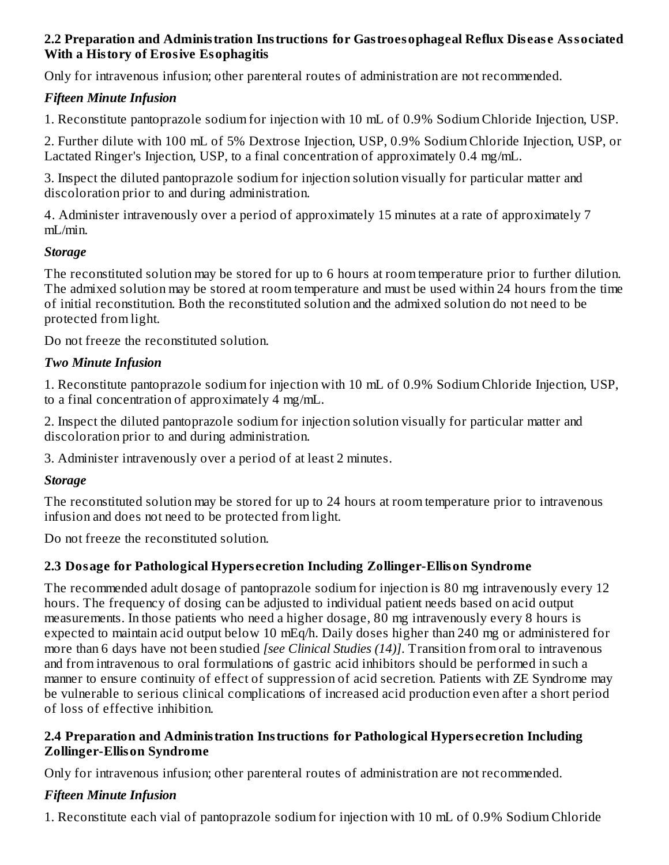#### **2.2 Preparation and Administration Instructions for Gastroesophageal Reflux Dis eas e Associated With a History of Erosive Esophagitis**

Only for intravenous infusion; other parenteral routes of administration are not recommended.

## *Fifteen Minute Infusion*

1. Reconstitute pantoprazole sodium for injection with 10 mL of 0.9% Sodium Chloride Injection, USP.

2. Further dilute with 100 mL of 5% Dextrose Injection, USP, 0.9% Sodium Chloride Injection, USP, or Lactated Ringer's Injection, USP, to a final concentration of approximately 0.4 mg/mL.

3. Inspect the diluted pantoprazole sodium for injection solution visually for particular matter and discoloration prior to and during administration.

4. Administer intravenously over a period of approximately 15 minutes at a rate of approximately 7 mL/min.

#### *Storage*

The reconstituted solution may be stored for up to 6 hours at room temperature prior to further dilution. The admixed solution may be stored at room temperature and must be used within 24 hours from the time of initial reconstitution. Both the reconstituted solution and the admixed solution do not need to be protected from light.

Do not freeze the reconstituted solution.

#### *Two Minute Infusion*

1. Reconstitute pantoprazole sodium for injection with 10 mL of 0.9% Sodium Chloride Injection, USP, to a final concentration of approximately 4 mg/mL.

2. Inspect the diluted pantoprazole sodium for injection solution visually for particular matter and discoloration prior to and during administration.

3. Administer intravenously over a period of at least 2 minutes.

## *Storage*

The reconstituted solution may be stored for up to 24 hours at room temperature prior to intravenous infusion and does not need to be protected from light.

Do not freeze the reconstituted solution.

## **2.3 Dosage for Pathological Hypers ecretion Including Zollinger-Ellison Syndrome**

The recommended adult dosage of pantoprazole sodium for injection is 80 mg intravenously every 12 hours. The frequency of dosing can be adjusted to individual patient needs based on acid output measurements. In those patients who need a higher dosage, 80 mg intravenously every 8 hours is expected to maintain acid output below 10 mEq/h. Daily doses higher than 240 mg or administered for more than 6 days have not been studied *[see Clinical Studies (14)]*. Transition from oral to intravenous and from intravenous to oral formulations of gastric acid inhibitors should be performed in such a manner to ensure continuity of effect of suppression of acid secretion. Patients with ZE Syndrome may be vulnerable to serious clinical complications of increased acid production even after a short period of loss of effective inhibition.

#### **2.4 Preparation and Administration Instructions for Pathological Hypers ecretion Including Zollinger-Ellison Syndrome**

Only for intravenous infusion; other parenteral routes of administration are not recommended.

## *Fifteen Minute Infusion*

1. Reconstitute each vial of pantoprazole sodium for injection with 10 mL of 0.9% Sodium Chloride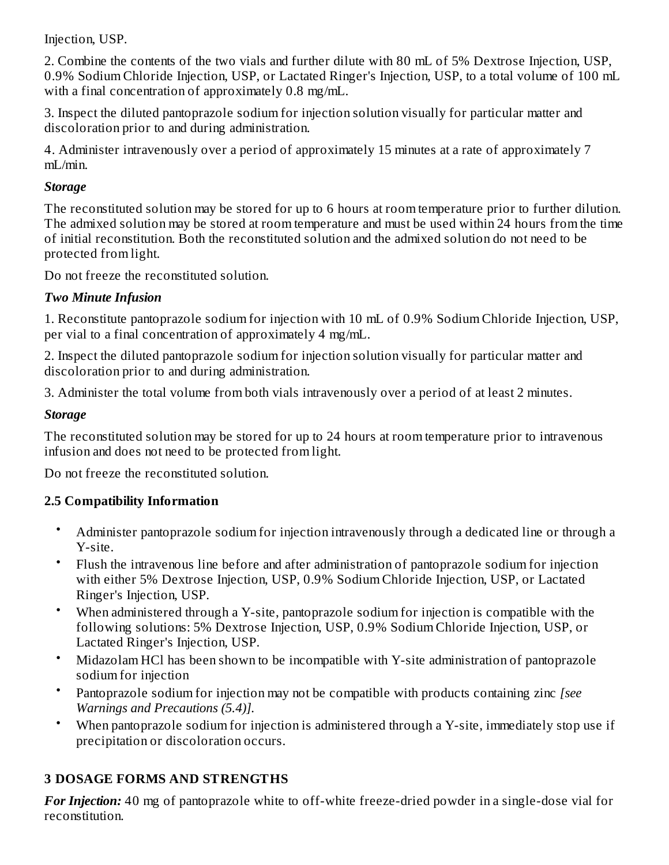Injection, USP.

2. Combine the contents of the two vials and further dilute with 80 mL of 5% Dextrose Injection, USP, 0.9% Sodium Chloride Injection, USP, or Lactated Ringer's Injection, USP, to a total volume of 100 mL with a final concentration of approximately 0.8 mg/mL.

3. Inspect the diluted pantoprazole sodium for injection solution visually for particular matter and discoloration prior to and during administration.

4. Administer intravenously over a period of approximately 15 minutes at a rate of approximately 7 mL/min.

#### *Storage*

The reconstituted solution may be stored for up to 6 hours at room temperature prior to further dilution. The admixed solution may be stored at room temperature and must be used within 24 hours from the time of initial reconstitution. Both the reconstituted solution and the admixed solution do not need to be protected from light.

Do not freeze the reconstituted solution.

## *Two Minute Infusion*

1. Reconstitute pantoprazole sodium for injection with 10 mL of 0.9% Sodium Chloride Injection, USP, per vial to a final concentration of approximately 4 mg/mL.

2. Inspect the diluted pantoprazole sodium for injection solution visually for particular matter and discoloration prior to and during administration.

3. Administer the total volume from both vials intravenously over a period of at least 2 minutes.

## *Storage*

The reconstituted solution may be stored for up to 24 hours at room temperature prior to intravenous infusion and does not need to be protected from light.

Do not freeze the reconstituted solution.

## **2.5 Compatibility Information**

- Administer pantoprazole sodium for injection intravenously through a dedicated line or through a Y-site.
- Flush the intravenous line before and after administration of pantoprazole sodium for injection with either 5% Dextrose Injection, USP, 0.9% Sodium Chloride Injection, USP, or Lactated Ringer's Injection, USP.
- When administered through a Y-site, pantoprazole sodium for injection is compatible with the following solutions: 5% Dextrose Injection, USP, 0.9% Sodium Chloride Injection, USP, or Lactated Ringer's Injection, USP.
- Midazolam HCl has been shown to be incompatible with Y-site administration of pantoprazole sodium for injection
- Pantoprazole sodium for injection may not be compatible with products containing zinc *[see Warnings and Precautions (5.4)].*
- When pantoprazole sodium for injection is administered through a Y-site, immediately stop use if precipitation or discoloration occurs.

# **3 DOSAGE FORMS AND STRENGTHS**

*For Injection:* 40 mg of pantoprazole white to off-white freeze-dried powder in a single-dose vial for reconstitution.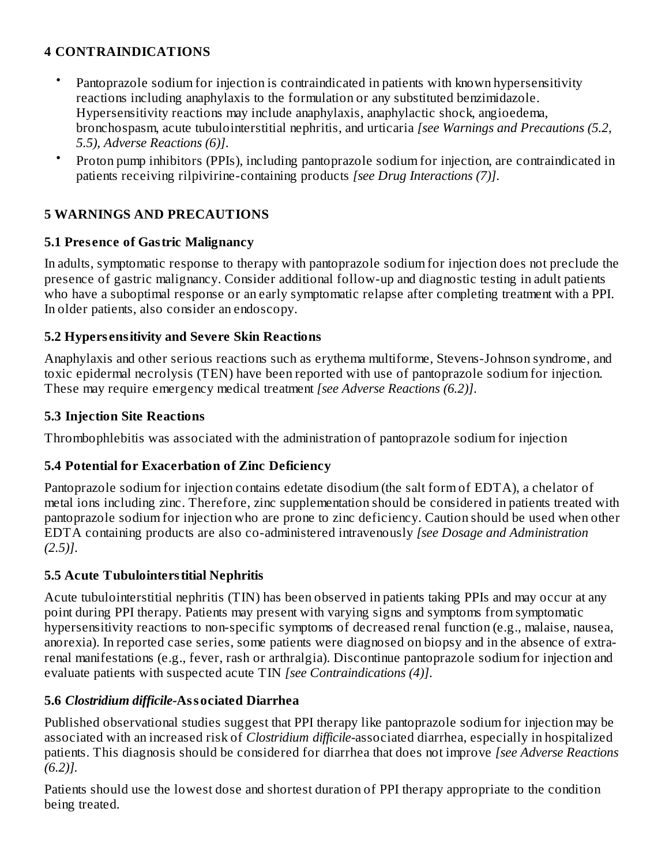## **4 CONTRAINDICATIONS**

- Pantoprazole sodium for injection is contraindicated in patients with known hypersensitivity reactions including anaphylaxis to the formulation or any substituted benzimidazole. Hypersensitivity reactions may include anaphylaxis, anaphylactic shock, angioedema, bronchospasm, acute tubulointerstitial nephritis, and urticaria *[see Warnings and Precautions (5.2, 5.5), Adverse Reactions (6)]*.
- Proton pump inhibitors (PPIs), including pantoprazole sodium for injection, are contraindicated in patients receiving rilpivirine-containing products *[see Drug Interactions (7)]*.

## **5 WARNINGS AND PRECAUTIONS**

#### **5.1 Pres ence of Gastric Malignancy**

In adults, symptomatic response to therapy with pantoprazole sodium for injection does not preclude the presence of gastric malignancy. Consider additional follow-up and diagnostic testing in adult patients who have a suboptimal response or an early symptomatic relapse after completing treatment with a PPI. In older patients, also consider an endoscopy.

#### **5.2 Hypers ensitivity and Severe Skin Reactions**

Anaphylaxis and other serious reactions such as erythema multiforme, Stevens-Johnson syndrome, and toxic epidermal necrolysis (TEN) have been reported with use of pantoprazole sodium for injection. These may require emergency medical treatment *[see Adverse Reactions (6.2)]*.

#### **5.3 Injection Site Reactions**

Thrombophlebitis was associated with the administration of pantoprazole sodium for injection

#### **5.4 Potential for Exacerbation of Zinc Deficiency**

Pantoprazole sodium for injection contains edetate disodium (the salt form of EDTA), a chelator of metal ions including zinc. Therefore, zinc supplementation should be considered in patients treated with pantoprazole sodium for injection who are prone to zinc deficiency. Caution should be used when other EDTA containing products are also co-administered intravenously *[see Dosage and Administration (2.5)]*.

#### **5.5 Acute Tubulointerstitial Nephritis**

Acute tubulointerstitial nephritis (TIN) has been observed in patients taking PPIs and may occur at any point during PPI therapy. Patients may present with varying signs and symptoms from symptomatic hypersensitivity reactions to non-specific symptoms of decreased renal function (e.g., malaise, nausea, anorexia). In reported case series, some patients were diagnosed on biopsy and in the absence of extrarenal manifestations (e.g., fever, rash or arthralgia). Discontinue pantoprazole sodium for injection and evaluate patients with suspected acute TIN *[see Contraindications (4)]*.

#### **5.6** *Clostridium difficile-***Associated Diarrhea**

Published observational studies suggest that PPI therapy like pantoprazole sodium for injection may be associated with an increased risk of *Clostridium difficile-*associated diarrhea, especially in hospitalized patients. This diagnosis should be considered for diarrhea that does not improve *[see Adverse Reactions (6.2)].*

Patients should use the lowest dose and shortest duration of PPI therapy appropriate to the condition being treated.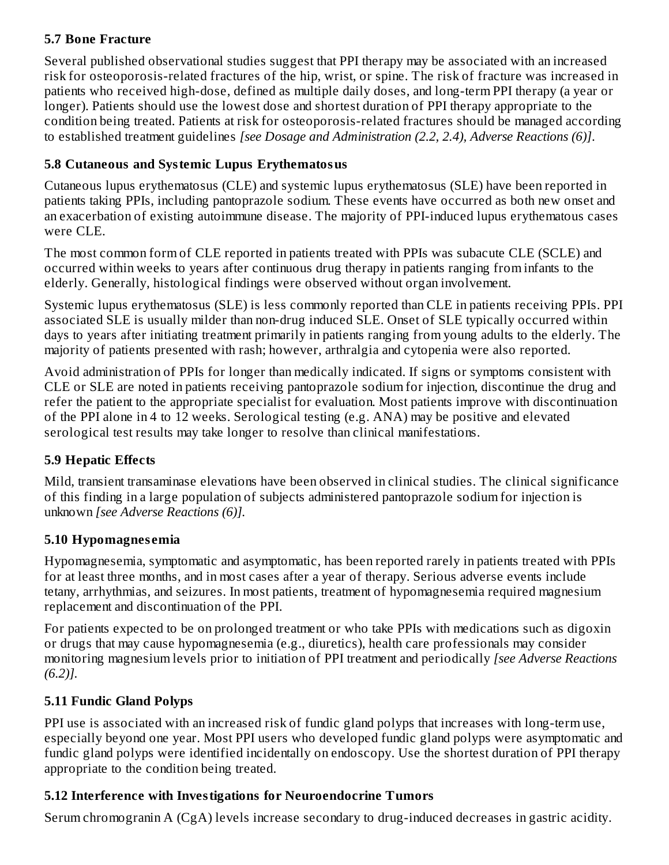#### **5.7 Bone Fracture**

Several published observational studies suggest that PPI therapy may be associated with an increased risk for osteoporosis-related fractures of the hip, wrist, or spine. The risk of fracture was increased in patients who received high-dose, defined as multiple daily doses, and long-term PPI therapy (a year or longer). Patients should use the lowest dose and shortest duration of PPI therapy appropriate to the condition being treated. Patients at risk for osteoporosis-related fractures should be managed according to established treatment guidelines *[see Dosage and Administration (2.2, 2.4), Adverse Reactions (6)]*.

## **5.8 Cutaneous and Systemic Lupus Erythematosus**

Cutaneous lupus erythematosus (CLE) and systemic lupus erythematosus (SLE) have been reported in patients taking PPIs, including pantoprazole sodium. These events have occurred as both new onset and an exacerbation of existing autoimmune disease. The majority of PPI-induced lupus erythematous cases were CLE.

The most common form of CLE reported in patients treated with PPIs was subacute CLE (SCLE) and occurred within weeks to years after continuous drug therapy in patients ranging from infants to the elderly. Generally, histological findings were observed without organ involvement.

Systemic lupus erythematosus (SLE) is less commonly reported than CLE in patients receiving PPIs. PPI associated SLE is usually milder than non-drug induced SLE. Onset of SLE typically occurred within days to years after initiating treatment primarily in patients ranging from young adults to the elderly. The majority of patients presented with rash; however, arthralgia and cytopenia were also reported.

Avoid administration of PPIs for longer than medically indicated. If signs or symptoms consistent with CLE or SLE are noted in patients receiving pantoprazole sodium for injection, discontinue the drug and refer the patient to the appropriate specialist for evaluation. Most patients improve with discontinuation of the PPI alone in 4 to 12 weeks. Serological testing (e.g. ANA) may be positive and elevated serological test results may take longer to resolve than clinical manifestations.

## **5.9 Hepatic Effects**

Mild, transient transaminase elevations have been observed in clinical studies. The clinical significance of this finding in a large population of subjects administered pantoprazole sodium for injection is unknown *[see Adverse Reactions (6)].*

## **5.10 Hypomagnes emia**

Hypomagnesemia, symptomatic and asymptomatic, has been reported rarely in patients treated with PPIs for at least three months, and in most cases after a year of therapy. Serious adverse events include tetany, arrhythmias, and seizures. In most patients, treatment of hypomagnesemia required magnesium replacement and discontinuation of the PPI.

For patients expected to be on prolonged treatment or who take PPIs with medications such as digoxin or drugs that may cause hypomagnesemia (e.g., diuretics), health care professionals may consider monitoring magnesium levels prior to initiation of PPI treatment and periodically *[see Adverse Reactions (6.2)].*

# **5.11 Fundic Gland Polyps**

PPI use is associated with an increased risk of fundic gland polyps that increases with long-term use, especially beyond one year. Most PPI users who developed fundic gland polyps were asymptomatic and fundic gland polyps were identified incidentally on endoscopy. Use the shortest duration of PPI therapy appropriate to the condition being treated.

# **5.12 Interference with Investigations for Neuroendocrine Tumors**

Serum chromogranin A (CgA) levels increase secondary to drug-induced decreases in gastric acidity.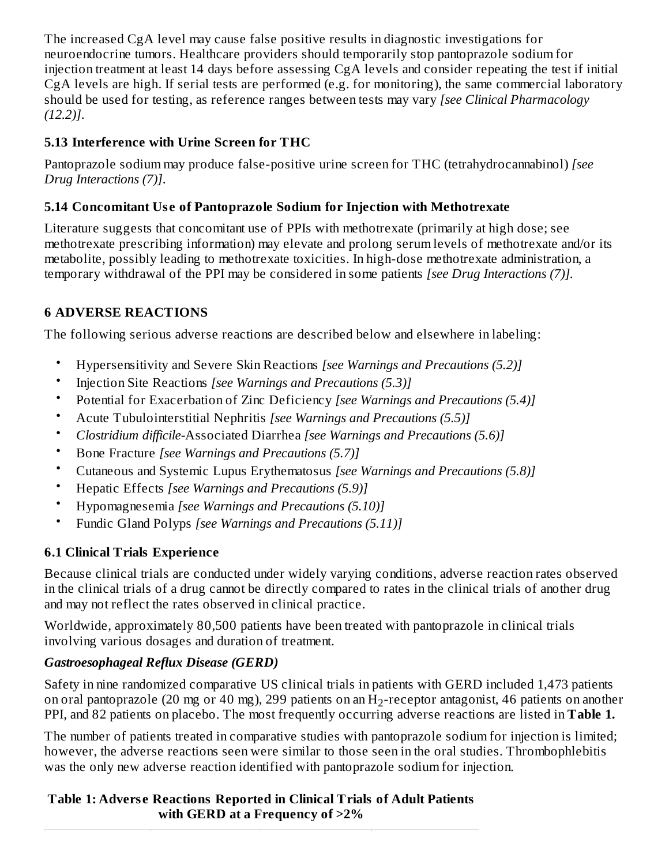The increased CgA level may cause false positive results in diagnostic investigations for neuroendocrine tumors. Healthcare providers should temporarily stop pantoprazole sodium for injection treatment at least 14 days before assessing CgA levels and consider repeating the test if initial CgA levels are high. If serial tests are performed (e.g. for monitoring), the same commercial laboratory should be used for testing, as reference ranges between tests may vary *[see Clinical Pharmacology (12.2)]*.

## **5.13 Interference with Urine Screen for THC**

Pantoprazole sodium may produce false-positive urine screen for THC (tetrahydrocannabinol) *[see Drug Interactions (7)]*.

## **5.14 Concomitant Us e of Pantoprazole Sodium for Injection with Methotrexate**

Literature suggests that concomitant use of PPIs with methotrexate (primarily at high dose; see methotrexate prescribing information) may elevate and prolong serum levels of methotrexate and/or its metabolite, possibly leading to methotrexate toxicities. In high-dose methotrexate administration, a temporary withdrawal of the PPI may be considered in some patients *[see Drug Interactions (7)].*

## **6 ADVERSE REACTIONS**

The following serious adverse reactions are described below and elsewhere in labeling:

- Hypersensitivity and Severe Skin Reactions *[see Warnings and Precautions (5.2)]*
- Injection Site Reactions *[see Warnings and Precautions (5.3)]*
- Potential for Exacerbation of Zinc Deficiency *[see Warnings and Precautions (5.4)]*
- Acute Tubulointerstitial Nephritis *[see Warnings and Precautions (5.5)]*
- *Clostridium difficile-*Associated Diarrhea *[see Warnings and Precautions (5.6)]*
- Bone Fracture *[see Warnings and Precautions (5.7)]*
- Cutaneous and Systemic Lupus Erythematosus *[see Warnings and Precautions (5.8)]*
- Hepatic Effects *[see Warnings and Precautions (5.9)]*
- Hypomagnesemia *[see Warnings and Precautions (5.10)]*
- Fundic Gland Polyps *[see Warnings and Precautions (5.11)]*

# **6.1 Clinical Trials Experience**

Because clinical trials are conducted under widely varying conditions, adverse reaction rates observed in the clinical trials of a drug cannot be directly compared to rates in the clinical trials of another drug and may not reflect the rates observed in clinical practice.

Worldwide, approximately 80,500 patients have been treated with pantoprazole in clinical trials involving various dosages and duration of treatment.

# *Gastroesophageal Reflux Disease (GERD)*

Safety in nine randomized comparative US clinical trials in patients with GERD included 1,473 patients on oral pantoprazole (20 mg or 40 mg), 299 patients on an  $\rm{H}_{2}$ -receptor antagonist, 46 patients on another PPI, and 82 patients on placebo. The most frequently occurring adverse reactions are listed in **Table 1.**

The number of patients treated in comparative studies with pantoprazole sodium for injection is limited; however, the adverse reactions seen were similar to those seen in the oral studies. Thrombophlebitis was the only new adverse reaction identified with pantoprazole sodium for injection.

## **Table 1: Advers e Reactions Reported in Clinical Trials of Adult Patients with GERD at a Frequency of >2%**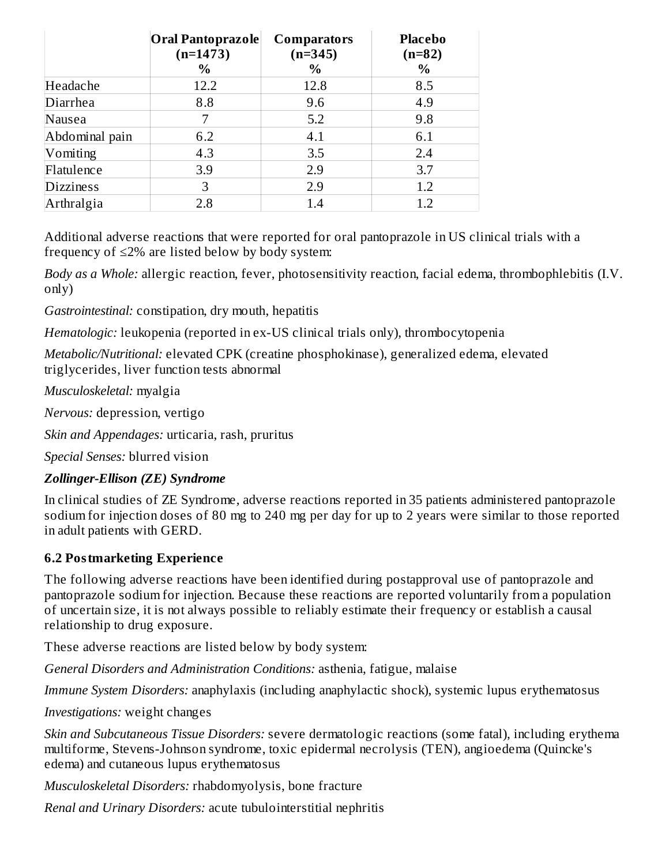|                  | Oral Pantoprazole<br><b>Comparators</b><br>$(n=1473)$<br>$(n=345)$<br>$\%$<br>$\%$ |      | <b>Placebo</b><br>$(n=82)$<br>$\frac{0}{0}$ |  |  |
|------------------|------------------------------------------------------------------------------------|------|---------------------------------------------|--|--|
| Headache         | 12.2                                                                               | 12.8 | 8.5                                         |  |  |
| Diarrhea         | 8.8                                                                                | 9.6  | 4.9                                         |  |  |
| Nausea           | 7                                                                                  | 5.2  | 9.8                                         |  |  |
| Abdominal pain   | 6.2                                                                                | 4.1  | 6.1                                         |  |  |
| Vomiting         | 4.3                                                                                | 3.5  | 2.4                                         |  |  |
| Flatulence       | 3.9                                                                                | 2.9  | 3.7                                         |  |  |
| <b>Dizziness</b> | 3                                                                                  | 2.9  | 1.2                                         |  |  |
| Arthralgia       | 2.8                                                                                | 1.4  | 1.2                                         |  |  |

Additional adverse reactions that were reported for oral pantoprazole in US clinical trials with a frequency of  $\leq$ 2% are listed below by body system:

*Body as a Whole:* allergic reaction, fever, photosensitivity reaction, facial edema, thrombophlebitis (I.V. only)

*Gastrointestinal:* constipation, dry mouth, hepatitis

*Hematologic:* leukopenia (reported in ex-US clinical trials only), thrombocytopenia

*Metabolic/Nutritional:* elevated CPK (creatine phosphokinase), generalized edema, elevated triglycerides, liver function tests abnormal

*Musculoskeletal:* myalgia

*Nervous:* depression, vertigo

*Skin and Appendages:* urticaria, rash, pruritus

*Special Senses:* blurred vision

#### *Zollinger-Ellison (ZE) Syndrome*

In clinical studies of ZE Syndrome, adverse reactions reported in 35 patients administered pantoprazole sodium for injection doses of 80 mg to 240 mg per day for up to 2 years were similar to those reported in adult patients with GERD.

#### **6.2 Postmarketing Experience**

The following adverse reactions have been identified during postapproval use of pantoprazole and pantoprazole sodium for injection. Because these reactions are reported voluntarily from a population of uncertain size, it is not always possible to reliably estimate their frequency or establish a causal relationship to drug exposure.

These adverse reactions are listed below by body system:

*General Disorders and Administration Conditions:* asthenia, fatigue, malaise

*Immune System Disorders:* anaphylaxis (including anaphylactic shock), systemic lupus erythematosus

*Investigations:* weight changes

*Skin and Subcutaneous Tissue Disorders:* severe dermatologic reactions (some fatal), including erythema multiforme, Stevens-Johnson syndrome, toxic epidermal necrolysis (TEN), angioedema (Quincke's edema) and cutaneous lupus erythematosus

*Musculoskeletal Disorders:* rhabdomyolysis, bone fracture

*Renal and Urinary Disorders:* acute tubulointerstitial nephritis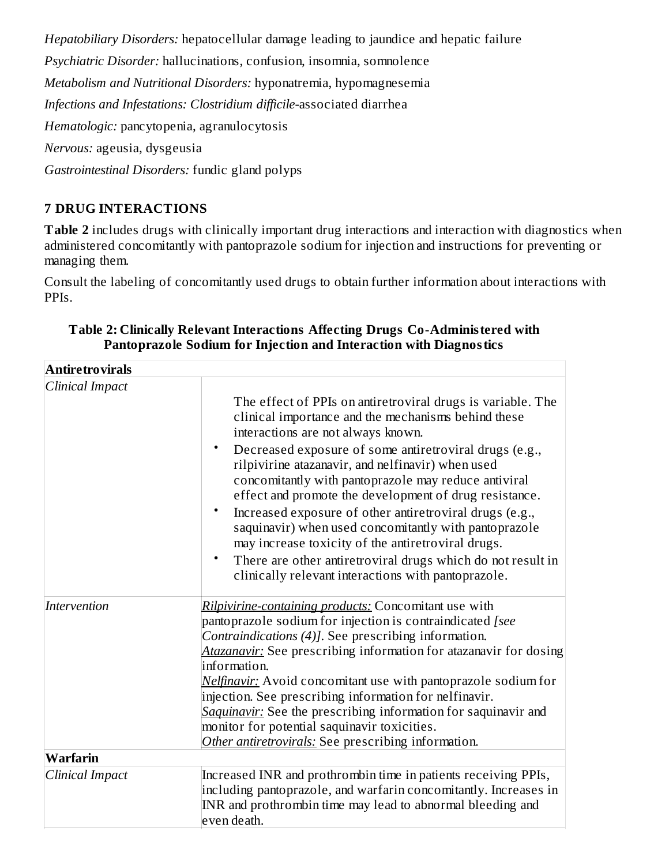*Hepatobiliary Disorders:* hepatocellular damage leading to jaundice and hepatic failure

*Psychiatric Disorder:* hallucinations, confusion, insomnia, somnolence

*Metabolism and Nutritional Disorders:* hyponatremia, hypomagnesemia

*Infections and Infestations: Clostridium difficile-*associated diarrhea

*Hematologic:* pancytopenia, agranulocytosis

*Nervous:* ageusia, dysgeusia

*Gastrointestinal Disorders:* fundic gland polyps

## **7 DRUG INTERACTIONS**

**Table 2** includes drugs with clinically important drug interactions and interaction with diagnostics when administered concomitantly with pantoprazole sodium for injection and instructions for preventing or managing them.

Consult the labeling of concomitantly used drugs to obtain further information about interactions with PPIs.

| <b>Antiretrovirals</b> |                                                                                                                                                                                                                                                                                                                                                                                                                                                                                                                                                                                                                                                                                                                     |
|------------------------|---------------------------------------------------------------------------------------------------------------------------------------------------------------------------------------------------------------------------------------------------------------------------------------------------------------------------------------------------------------------------------------------------------------------------------------------------------------------------------------------------------------------------------------------------------------------------------------------------------------------------------------------------------------------------------------------------------------------|
| Clinical Impact        | The effect of PPIs on antiretroviral drugs is variable. The<br>clinical importance and the mechanisms behind these<br>interactions are not always known.<br>$\bullet$<br>Decreased exposure of some antiretroviral drugs (e.g.,<br>rilpivirine atazanavir, and nelfinavir) when used<br>concomitantly with pantoprazole may reduce antiviral<br>effect and promote the development of drug resistance.<br>Increased exposure of other antiretroviral drugs (e.g.,<br>$\bullet$<br>saquinavir) when used concomitantly with pantoprazole<br>may increase toxicity of the antiretroviral drugs.<br>There are other antiretroviral drugs which do not result in<br>clinically relevant interactions with pantoprazole. |
| Intervention           | Rilpivirine-containing products: Concomitant use with<br>pantoprazole sodium for injection is contraindicated [see<br>Contraindications (4)]. See prescribing information.<br>Atazanavir: See prescribing information for atazanavir for dosing<br>information.<br>Nelfinavir: Avoid concomitant use with pantoprazole sodium for<br>injection. See prescribing information for nelfinavir.<br>Saquinavir: See the prescribing information for saquinavir and<br>monitor for potential saquinavir toxicities.<br>Other antiretrovirals: See prescribing information.                                                                                                                                                |
| Warfarin               |                                                                                                                                                                                                                                                                                                                                                                                                                                                                                                                                                                                                                                                                                                                     |
| Clinical Impact        | Increased INR and prothrombin time in patients receiving PPIs,<br>including pantoprazole, and warfarin concomitantly. Increases in<br>INR and prothrombin time may lead to abnormal bleeding and<br>even death.                                                                                                                                                                                                                                                                                                                                                                                                                                                                                                     |

#### **Table 2: Clinically Relevant Interactions Affecting Drugs Co-Administered with Pantoprazole Sodium for Injection and Interaction with Diagnostics**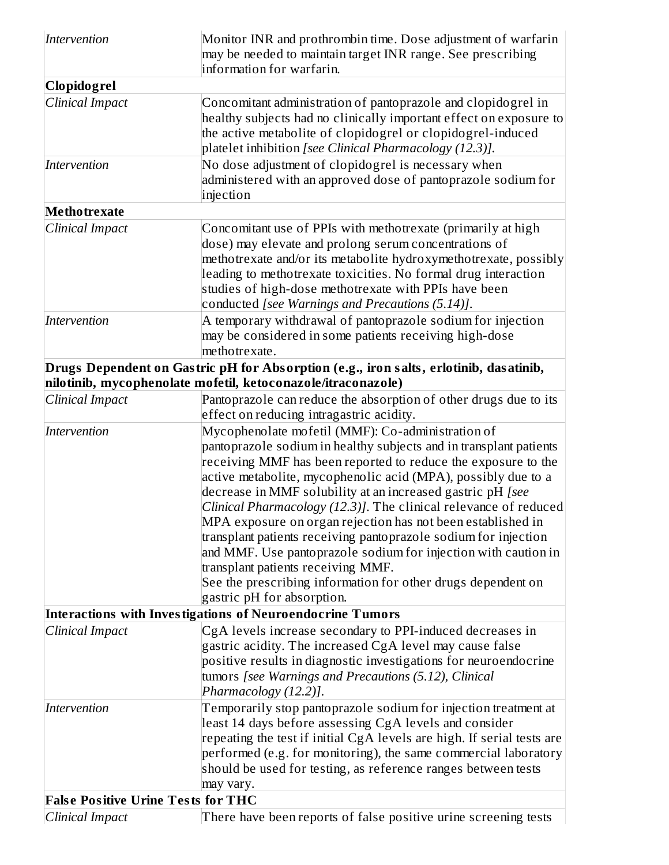| Intervention                                              | Monitor INR and prothrombin time. Dose adjustment of warfarin<br>may be needed to maintain target INR range. See prescribing<br>information for warfarin.                                                                                                                                                                                                                                                                                                                                                                                                                                                                                                                                                                                                                                        |  |  |  |
|-----------------------------------------------------------|--------------------------------------------------------------------------------------------------------------------------------------------------------------------------------------------------------------------------------------------------------------------------------------------------------------------------------------------------------------------------------------------------------------------------------------------------------------------------------------------------------------------------------------------------------------------------------------------------------------------------------------------------------------------------------------------------------------------------------------------------------------------------------------------------|--|--|--|
| <b>Clopidogrel</b>                                        |                                                                                                                                                                                                                                                                                                                                                                                                                                                                                                                                                                                                                                                                                                                                                                                                  |  |  |  |
| Clinical Impact                                           | Concomitant administration of pantoprazole and clopidogrel in<br>healthy subjects had no clinically important effect on exposure to<br>the active metabolite of clopidogrel or clopidogrel-induced<br>platelet inhibition [see Clinical Pharmacology (12.3)].                                                                                                                                                                                                                                                                                                                                                                                                                                                                                                                                    |  |  |  |
| Intervention                                              | No dose adjustment of clopidogrel is necessary when<br>administered with an approved dose of pantoprazole sodium for<br>injection                                                                                                                                                                                                                                                                                                                                                                                                                                                                                                                                                                                                                                                                |  |  |  |
| <b>Methotrexate</b>                                       |                                                                                                                                                                                                                                                                                                                                                                                                                                                                                                                                                                                                                                                                                                                                                                                                  |  |  |  |
| Clinical Impact                                           | Concomitant use of PPIs with methotrexate (primarily at high<br>dose) may elevate and prolong serum concentrations of<br>methotrexate and/or its metabolite hydroxymethotrexate, possibly<br>leading to methotrexate toxicities. No formal drug interaction<br>studies of high-dose methotrexate with PPIs have been<br>conducted [see Warnings and Precautions (5.14)].                                                                                                                                                                                                                                                                                                                                                                                                                         |  |  |  |
| Intervention                                              | A temporary withdrawal of pantoprazole sodium for injection<br>may be considered in some patients receiving high-dose<br>methotrexate.                                                                                                                                                                                                                                                                                                                                                                                                                                                                                                                                                                                                                                                           |  |  |  |
|                                                           | Drugs Dependent on Gastric pH for Absorption (e.g., iron salts, erlotinib, dasatinib,<br>nilotinib, mycophenolate mofetil, ketoconazole/itraconazole)                                                                                                                                                                                                                                                                                                                                                                                                                                                                                                                                                                                                                                            |  |  |  |
| Clinical Impact                                           | Pantoprazole can reduce the absorption of other drugs due to its<br>effect on reducing intragastric acidity.                                                                                                                                                                                                                                                                                                                                                                                                                                                                                                                                                                                                                                                                                     |  |  |  |
| Intervention                                              | Mycophenolate mofetil (MMF): Co-administration of<br>pantoprazole sodium in healthy subjects and in transplant patients<br>receiving MMF has been reported to reduce the exposure to the<br>active metabolite, mycophenolic acid (MPA), possibly due to a<br>decrease in MMF solubility at an increased gastric pH [see<br>Clinical Pharmacology (12.3)]. The clinical relevance of reduced<br>MPA exposure on organ rejection has not been established in<br>transplant patients receiving pantoprazole sodium for injection<br>and MMF. Use pantoprazole sodium for injection with caution in<br>transplant patients receiving MMF.<br>See the prescribing information for other drugs dependent on<br>gastric pH for absorption.<br>Interactions with Investigations of Neuroendocrine Tumors |  |  |  |
|                                                           |                                                                                                                                                                                                                                                                                                                                                                                                                                                                                                                                                                                                                                                                                                                                                                                                  |  |  |  |
| Clinical Impact                                           | CgA levels increase secondary to PPI-induced decreases in<br>gastric acidity. The increased CgA level may cause false<br>positive results in diagnostic investigations for neuroendocrine<br>tumors [see Warnings and Precautions (5.12), Clinical<br>Pharmacology (12.2)].                                                                                                                                                                                                                                                                                                                                                                                                                                                                                                                      |  |  |  |
| Intervention<br><b>False Positive Urine Tests for THC</b> | Temporarily stop pantoprazole sodium for injection treatment at<br>least 14 days before assessing CgA levels and consider<br>repeating the test if initial CgA levels are high. If serial tests are<br>performed (e.g. for monitoring), the same commercial laboratory<br>should be used for testing, as reference ranges between tests<br>may vary.                                                                                                                                                                                                                                                                                                                                                                                                                                             |  |  |  |
| Clinical Impact                                           | There have been reports of false positive urine screening tests                                                                                                                                                                                                                                                                                                                                                                                                                                                                                                                                                                                                                                                                                                                                  |  |  |  |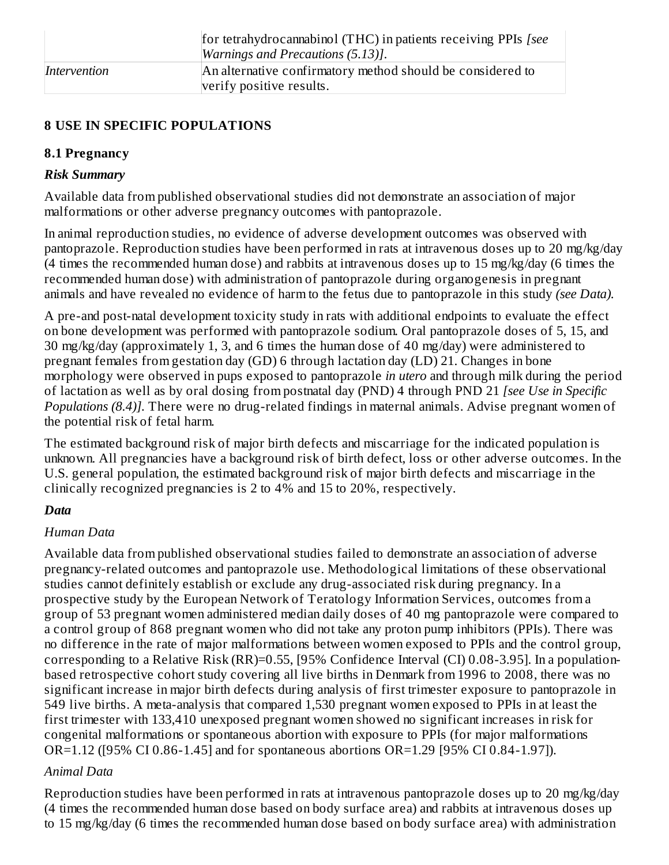|              | for tetrahydrocannabinol (THC) in patients receiving PPIs [see]<br><i>Warnings and Precautions (5.13)].</i> |
|--------------|-------------------------------------------------------------------------------------------------------------|
| Intervention | An alternative confirmatory method should be considered to<br>verify positive results.                      |

#### **8 USE IN SPECIFIC POPULATIONS**

#### **8.1 Pregnancy**

#### *Risk Summary*

Available data from published observational studies did not demonstrate an association of major malformations or other adverse pregnancy outcomes with pantoprazole.

In animal reproduction studies, no evidence of adverse development outcomes was observed with pantoprazole. Reproduction studies have been performed in rats at intravenous doses up to 20 mg/kg/day (4 times the recommended human dose) and rabbits at intravenous doses up to 15 mg/kg/day (6 times the recommended human dose) with administration of pantoprazole during organogenesis in pregnant animals and have revealed no evidence of harm to the fetus due to pantoprazole in this study *(see Data).*

A pre-and post-natal development toxicity study in rats with additional endpoints to evaluate the effect on bone development was performed with pantoprazole sodium. Oral pantoprazole doses of 5, 15, and 30 mg/kg/day (approximately 1, 3, and 6 times the human dose of 40 mg/day) were administered to pregnant females from gestation day (GD) 6 through lactation day (LD) 21. Changes in bone morphology were observed in pups exposed to pantoprazole *in utero* and through milk during the period of lactation as well as by oral dosing from postnatal day (PND) 4 through PND 21 *[see Use in Specific Populations (8.4)].* There were no drug-related findings in maternal animals. Advise pregnant women of the potential risk of fetal harm.

The estimated background risk of major birth defects and miscarriage for the indicated population is unknown. All pregnancies have a background risk of birth defect, loss or other adverse outcomes. In the U.S. general population, the estimated background risk of major birth defects and miscarriage in the clinically recognized pregnancies is 2 to 4% and 15 to 20%, respectively.

## *Data*

## *Human Data*

Available data from published observational studies failed to demonstrate an association of adverse pregnancy-related outcomes and pantoprazole use. Methodological limitations of these observational studies cannot definitely establish or exclude any drug-associated risk during pregnancy. In a prospective study by the European Network of Teratology Information Services, outcomes from a group of 53 pregnant women administered median daily doses of 40 mg pantoprazole were compared to a control group of 868 pregnant women who did not take any proton pump inhibitors (PPIs). There was no difference in the rate of major malformations between women exposed to PPIs and the control group, corresponding to a Relative Risk (RR)=0.55, [95% Confidence Interval (CI) 0.08-3.95]. In a populationbased retrospective cohort study covering all live births in Denmark from 1996 to 2008, there was no significant increase in major birth defects during analysis of first trimester exposure to pantoprazole in 549 live births. A meta-analysis that compared 1,530 pregnant women exposed to PPIs in at least the first trimester with 133,410 unexposed pregnant women showed no significant increases in risk for congenital malformations or spontaneous abortion with exposure to PPIs (for major malformations OR=1.12 ([95% CI 0.86-1.45] and for spontaneous abortions OR=1.29 [95% CI 0.84-1.97]).

## *Animal Data*

Reproduction studies have been performed in rats at intravenous pantoprazole doses up to 20 mg/kg/day (4 times the recommended human dose based on body surface area) and rabbits at intravenous doses up to 15 mg/kg/day (6 times the recommended human dose based on body surface area) with administration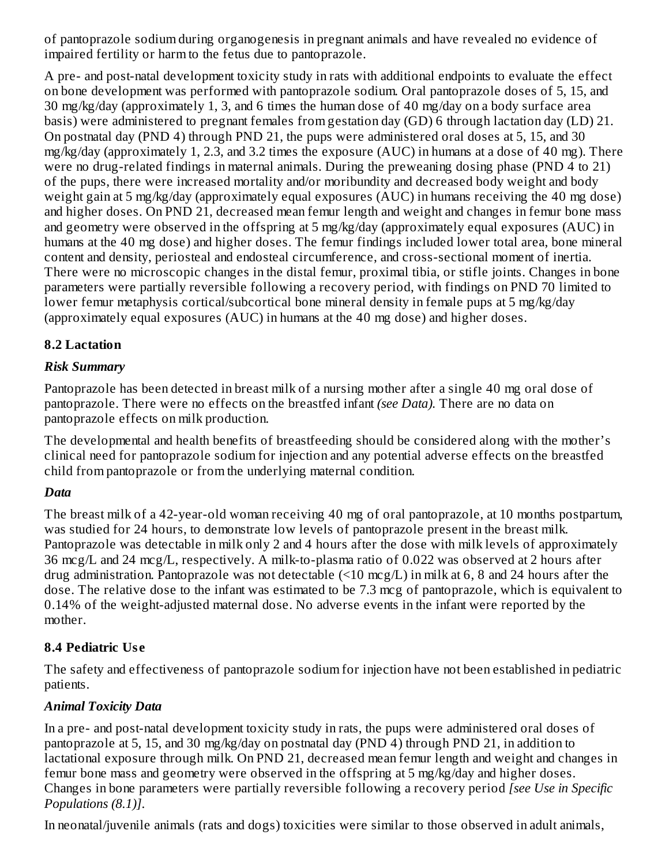of pantoprazole sodium during organogenesis in pregnant animals and have revealed no evidence of impaired fertility or harm to the fetus due to pantoprazole.

A pre- and post-natal development toxicity study in rats with additional endpoints to evaluate the effect on bone development was performed with pantoprazole sodium. Oral pantoprazole doses of 5, 15, and 30 mg/kg/day (approximately 1, 3, and 6 times the human dose of 40 mg/day on a body surface area basis) were administered to pregnant females from gestation day (GD) 6 through lactation day (LD) 21. On postnatal day (PND 4) through PND 21, the pups were administered oral doses at 5, 15, and 30 mg/kg/day (approximately 1, 2.3, and 3.2 times the exposure (AUC) in humans at a dose of 40 mg). There were no drug-related findings in maternal animals. During the preweaning dosing phase (PND 4 to 21) of the pups, there were increased mortality and/or moribundity and decreased body weight and body weight gain at 5 mg/kg/day (approximately equal exposures (AUC) in humans receiving the 40 mg dose) and higher doses. On PND 21, decreased mean femur length and weight and changes in femur bone mass and geometry were observed in the offspring at 5 mg/kg/day (approximately equal exposures (AUC) in humans at the 40 mg dose) and higher doses. The femur findings included lower total area, bone mineral content and density, periosteal and endosteal circumference, and cross-sectional moment of inertia. There were no microscopic changes in the distal femur, proximal tibia, or stifle joints. Changes in bone parameters were partially reversible following a recovery period, with findings on PND 70 limited to lower femur metaphysis cortical/subcortical bone mineral density in female pups at 5 mg/kg/day (approximately equal exposures (AUC) in humans at the 40 mg dose) and higher doses.

#### **8.2 Lactation**

#### *Risk Summary*

Pantoprazole has been detected in breast milk of a nursing mother after a single 40 mg oral dose of pantoprazole. There were no effects on the breastfed infant *(see Data).* There are no data on pantoprazole effects on milk production.

The developmental and health benefits of breastfeeding should be considered along with the mother's clinical need for pantoprazole sodium for injection and any potential adverse effects on the breastfed child from pantoprazole or from the underlying maternal condition.

## *Data*

The breast milk of a 42-year-old woman receiving 40 mg of oral pantoprazole, at 10 months postpartum, was studied for 24 hours, to demonstrate low levels of pantoprazole present in the breast milk. Pantoprazole was detectable in milk only 2 and 4 hours after the dose with milk levels of approximately 36 mcg/L and 24 mcg/L, respectively. A milk-to-plasma ratio of 0.022 was observed at 2 hours after drug administration. Pantoprazole was not detectable (<10 mcg/L) in milk at 6, 8 and 24 hours after the dose. The relative dose to the infant was estimated to be 7.3 mcg of pantoprazole, which is equivalent to 0.14% of the weight-adjusted maternal dose. No adverse events in the infant were reported by the mother.

## **8.4 Pediatric Us e**

The safety and effectiveness of pantoprazole sodium for injection have not been established in pediatric patients.

## *Animal Toxicity Data*

In a pre- and post-natal development toxicity study in rats, the pups were administered oral doses of pantoprazole at 5, 15, and 30 mg/kg/day on postnatal day (PND 4) through PND 21, in addition to lactational exposure through milk. On PND 21, decreased mean femur length and weight and changes in femur bone mass and geometry were observed in the offspring at 5 mg/kg/day and higher doses. Changes in bone parameters were partially reversible following a recovery period *[see Use in Specific Populations (8.1)]*.

In neonatal/juvenile animals (rats and dogs) toxicities were similar to those observed in adult animals,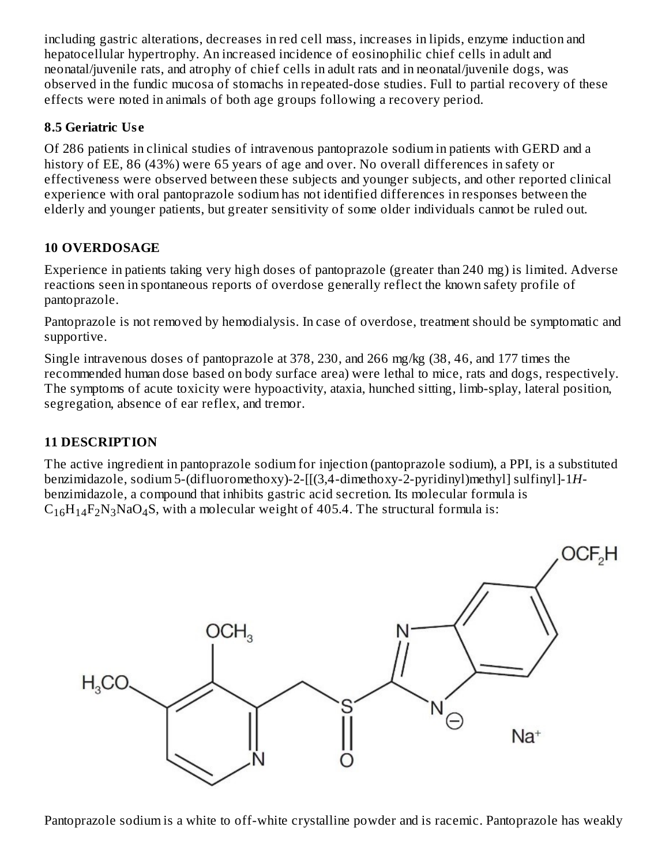including gastric alterations, decreases in red cell mass, increases in lipids, enzyme induction and hepatocellular hypertrophy. An increased incidence of eosinophilic chief cells in adult and neonatal/juvenile rats, and atrophy of chief cells in adult rats and in neonatal/juvenile dogs, was observed in the fundic mucosa of stomachs in repeated-dose studies. Full to partial recovery of these effects were noted in animals of both age groups following a recovery period.

## **8.5 Geriatric Us e**

Of 286 patients in clinical studies of intravenous pantoprazole sodium in patients with GERD and a history of EE, 86 (43%) were 65 years of age and over. No overall differences in safety or effectiveness were observed between these subjects and younger subjects, and other reported clinical experience with oral pantoprazole sodium has not identified differences in responses between the elderly and younger patients, but greater sensitivity of some older individuals cannot be ruled out.

#### **10 OVERDOSAGE**

Experience in patients taking very high doses of pantoprazole (greater than 240 mg) is limited. Adverse reactions seen in spontaneous reports of overdose generally reflect the known safety profile of pantoprazole.

Pantoprazole is not removed by hemodialysis. In case of overdose, treatment should be symptomatic and supportive.

Single intravenous doses of pantoprazole at 378, 230, and 266 mg/kg (38, 46, and 177 times the recommended human dose based on body surface area) were lethal to mice, rats and dogs, respectively. The symptoms of acute toxicity were hypoactivity, ataxia, hunched sitting, limb-splay, lateral position, segregation, absence of ear reflex, and tremor.

## **11 DESCRIPTION**

The active ingredient in pantoprazole sodium for injection (pantoprazole sodium), a PPI, is a substituted benzimidazole, sodium 5-(difluoromethoxy)-2-[[(3,4-dimethoxy-2-pyridinyl)methyl] sulfinyl]-1*H*benzimidazole, a compound that inhibits gastric acid secretion. Its molecular formula is  $C_{16}H_{14}F_2N_3NaO_4S$ , with a molecular weight of 405.4. The structural formula is:



Pantoprazole sodium is a white to off-white crystalline powder and is racemic. Pantoprazole has weakly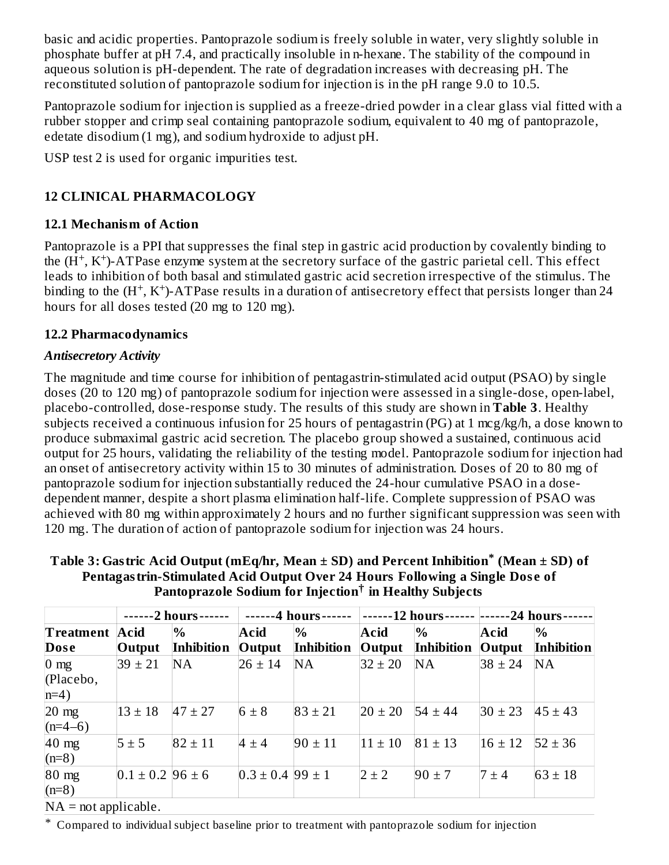basic and acidic properties. Pantoprazole sodium is freely soluble in water, very slightly soluble in phosphate buffer at pH 7.4, and practically insoluble in n-hexane. The stability of the compound in aqueous solution is pH-dependent. The rate of degradation increases with decreasing pH. The reconstituted solution of pantoprazole sodium for injection is in the pH range 9.0 to 10.5.

Pantoprazole sodium for injection is supplied as a freeze-dried powder in a clear glass vial fitted with a rubber stopper and crimp seal containing pantoprazole sodium, equivalent to 40 mg of pantoprazole, edetate disodium (1 mg), and sodium hydroxide to adjust pH.

USP test 2 is used for organic impurities test.

# **12 CLINICAL PHARMACOLOGY**

## **12.1 Mechanism of Action**

Pantoprazole is a PPI that suppresses the final step in gastric acid production by covalently binding to the  $(H^+, K^+)$ -ATPase enzyme system at the secretory surface of the gastric parietal cell. This effect leads to inhibition of both basal and stimulated gastric acid secretion irrespective of the stimulus. The binding to the  $(H^+, K^+)$ -ATPase results in a duration of antisecretory effect that persists longer than 24 hours for all doses tested (20 mg to 120 mg).

## **12.2 Pharmacodynamics**

# *Antisecretory Activity*

The magnitude and time course for inhibition of pentagastrin-stimulated acid output (PSAO) by single doses (20 to 120 mg) of pantoprazole sodium for injection were assessed in a single-dose, open-label, placebo-controlled, dose-response study. The results of this study are shown in **Table 3**. Healthy subjects received a continuous infusion for 25 hours of pentagastrin (PG) at 1 mcg/kg/h, a dose known to produce submaximal gastric acid secretion. The placebo group showed a sustained, continuous acid output for 25 hours, validating the reliability of the testing model. Pantoprazole sodium for injection had an onset of antisecretory activity within 15 to 30 minutes of administration. Doses of 20 to 80 mg of pantoprazole sodium for injection substantially reduced the 24-hour cumulative PSAO in a dosedependent manner, despite a short plasma elimination half-life. Complete suppression of PSAO was achieved with 80 mg within approximately 2 hours and no further significant suppression was seen with 120 mg. The duration of action of pantoprazole sodium for injection was 24 hours.

|                                      | --2 hours--<br>----  |             | -4 hours-                |             | -12 hours-  |             | -24 hours   |             |
|--------------------------------------|----------------------|-------------|--------------------------|-------------|-------------|-------------|-------------|-------------|
| <b>Treatment Acid</b>                |                      | $\%$        | Acid                     | $\%$        | Acid        | $\%$        | Acid        | $\%$        |
| Dose                                 | Output               | Inhibition  | Output                   | Inhibition  | Output      | Inhibition  | Output      | Inhibition  |
| $0 \text{ mg}$<br>(Placebo,<br>$n=4$ | $39 \pm 21$          | <b>NA</b>   | $26 \pm 14$              | NA          | $32 \pm 20$ | <b>NA</b>   | $38 \pm 24$ | NA          |
| $20 \text{ mg}$<br>$(n=4-6)$         | $13 \pm 18$          | $47 \pm 27$ | $6 \pm 8$                | $83 \pm 21$ | $20 \pm 20$ | $54 \pm 44$ | $30 \pm 23$ | $45 \pm 43$ |
| $40$ mg<br>$(n=8)$                   | $5 \pm 5$            | $82 \pm 11$ | $4 \pm 4$                | $90 \pm 11$ | $11 \pm 10$ | $81 \pm 13$ | $16 \pm 12$ | $52 \pm 36$ |
| $80$ mg<br>$(n=8)$                   | $0.1 \pm 0.2$ 96 ± 6 |             | $0.3 \pm 0.4$ 99 $\pm 1$ |             | $2 \pm 2$   | $90 \pm 7$  | $7 \pm 4$   | $63 \pm 18$ |
| $NA = not applicable.$               |                      |             |                          |             |             |             |             |             |

**Table 3: Gastric Acid Output (mEq/hr, Mean ± SD) and Percent Inhibition (Mean ± SD) of \* Pentagastrin-Stimulated Acid Output Over 24 Hours Following a Single Dos e of Pantoprazole Sodium for Injection in Healthy Subjects †**

\* Compared to individual subject baseline prior to treatment with pantoprazole sodium for injection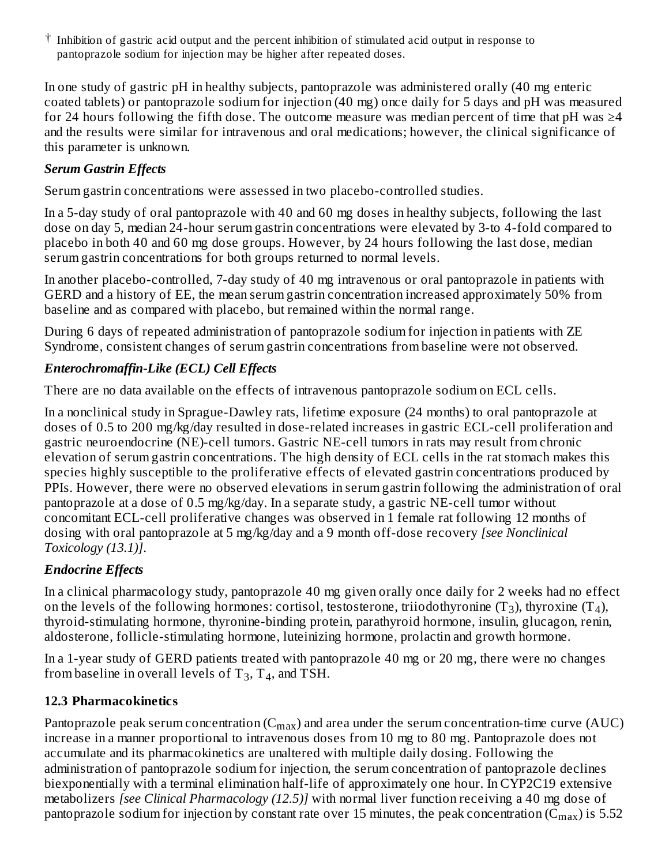$^\dagger$  Inhibition of gastric acid output and the percent inhibition of stimulated acid output in response to pantoprazole sodium for injection may be higher after repeated doses.

In one study of gastric pH in healthy subjects, pantoprazole was administered orally (40 mg enteric coated tablets) or pantoprazole sodium for injection (40 mg) once daily for 5 days and pH was measured for 24 hours following the fifth dose. The outcome measure was median percent of time that pH was  $\geq$ 4 and the results were similar for intravenous and oral medications; however, the clinical significance of this parameter is unknown.

## *Serum Gastrin Effects*

Serum gastrin concentrations were assessed in two placebo-controlled studies.

In a 5-day study of oral pantoprazole with 40 and 60 mg doses in healthy subjects, following the last dose on day 5, median 24-hour serum gastrin concentrations were elevated by 3-to 4-fold compared to placebo in both 40 and 60 mg dose groups. However, by 24 hours following the last dose, median serum gastrin concentrations for both groups returned to normal levels.

In another placebo-controlled, 7-day study of 40 mg intravenous or oral pantoprazole in patients with GERD and a history of EE, the mean serum gastrin concentration increased approximately 50% from baseline and as compared with placebo, but remained within the normal range.

During 6 days of repeated administration of pantoprazole sodium for injection in patients with ZE Syndrome, consistent changes of serum gastrin concentrations from baseline were not observed.

## *Enterochromaffin-Like (ECL) Cell Effects*

There are no data available on the effects of intravenous pantoprazole sodium on ECL cells.

In a nonclinical study in Sprague-Dawley rats, lifetime exposure (24 months) to oral pantoprazole at doses of 0.5 to 200 mg/kg/day resulted in dose-related increases in gastric ECL-cell proliferation and gastric neuroendocrine (NE)-cell tumors. Gastric NE-cell tumors in rats may result from chronic elevation of serum gastrin concentrations. The high density of ECL cells in the rat stomach makes this species highly susceptible to the proliferative effects of elevated gastrin concentrations produced by PPIs. However, there were no observed elevations in serum gastrin following the administration of oral pantoprazole at a dose of 0.5 mg/kg/day. In a separate study, a gastric NE-cell tumor without concomitant ECL-cell proliferative changes was observed in 1 female rat following 12 months of dosing with oral pantoprazole at 5 mg/kg/day and a 9 month off-dose recovery *[see Nonclinical Toxicology (13.1)]*.

# *Endocrine Effects*

In a clinical pharmacology study, pantoprazole 40 mg given orally once daily for 2 weeks had no effect on the levels of the following hormones: cortisol, testosterone, triiodothyronine (T<sub>3</sub>), thyroxine (T<sub>4</sub>), thyroid-stimulating hormone, thyronine-binding protein, parathyroid hormone, insulin, glucagon, renin, aldosterone, follicle-stimulating hormone, luteinizing hormone, prolactin and growth hormone.

In a 1-year study of GERD patients treated with pantoprazole 40 mg or 20 mg, there were no changes from baseline in overall levels of  $T_3$ ,  $T_4$ , and TSH.

## **12.3 Pharmacokinetics**

Pantoprazole peak serum concentration ( $\rm{C_{max}}$ ) and area under the serum concentration-time curve (AUC) increase in a manner proportional to intravenous doses from 10 mg to 80 mg. Pantoprazole does not accumulate and its pharmacokinetics are unaltered with multiple daily dosing. Following the administration of pantoprazole sodium for injection, the serum concentration of pantoprazole declines biexponentially with a terminal elimination half-life of approximately one hour. In CYP2C19 extensive metabolizers *[see Clinical Pharmacology (12.5)]* with normal liver function receiving a 40 mg dose of pantoprazole sodium for injection by constant rate over 15 minutes, the peak concentration (C $_{\rm max}$ ) is 5.52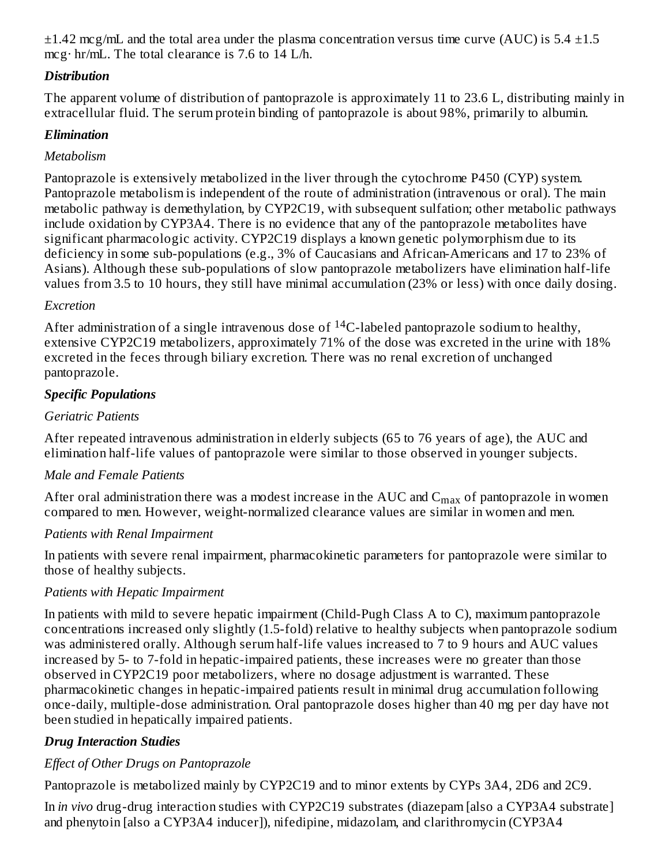$\pm 1.42$  mcg/mL and the total area under the plasma concentration versus time curve (AUC) is 5.4  $\pm 1.5$ mcg· hr/mL. The total clearance is 7.6 to 14 L/h. ...<sub>...</sub>.

#### *Distribution*

The apparent volume of distribution of pantoprazole is approximately 11 to 23.6 L, distributing mainly in extracellular fluid. The serum protein binding of pantoprazole is about 98%, primarily to albumin.

#### *Elimination*

#### *Metabolism*

Pantoprazole is extensively metabolized in the liver through the cytochrome P450 (CYP) system. Pantoprazole metabolism is independent of the route of administration (intravenous or oral). The main metabolic pathway is demethylation, by CYP2C19, with subsequent sulfation; other metabolic pathways include oxidation by CYP3A4. There is no evidence that any of the pantoprazole metabolites have significant pharmacologic activity. CYP2C19 displays a known genetic polymorphism due to its deficiency in some sub-populations (e.g., 3% of Caucasians and African-Americans and 17 to 23% of Asians). Although these sub-populations of slow pantoprazole metabolizers have elimination half-life values from 3.5 to 10 hours, they still have minimal accumulation (23% or less) with once daily dosing.

#### *Excretion*

After administration of a single intravenous dose of  $^{14}$ C-labeled pantoprazole sodium to healthy, extensive CYP2C19 metabolizers, approximately 71% of the dose was excreted in the urine with 18% excreted in the feces through biliary excretion. There was no renal excretion of unchanged pantoprazole.

#### *Specific Populations*

#### *Geriatric Patients*

After repeated intravenous administration in elderly subjects (65 to 76 years of age), the AUC and elimination half-life values of pantoprazole were similar to those observed in younger subjects.

#### *Male and Female Patients*

After oral administration there was a modest increase in the AUC and  $\rm{C_{max}}$  of pantoprazole in women compared to men. However, weight-normalized clearance values are similar in women and men.

## *Patients with Renal Impairment*

In patients with severe renal impairment, pharmacokinetic parameters for pantoprazole were similar to those of healthy subjects.

## *Patients with Hepatic Impairment*

In patients with mild to severe hepatic impairment (Child-Pugh Class A to C), maximum pantoprazole concentrations increased only slightly (1.5-fold) relative to healthy subjects when pantoprazole sodium was administered orally. Although serum half-life values increased to 7 to 9 hours and AUC values increased by 5- to 7-fold in hepatic-impaired patients, these increases were no greater than those observed in CYP2C19 poor metabolizers, where no dosage adjustment is warranted. These pharmacokinetic changes in hepatic-impaired patients result in minimal drug accumulation following once-daily, multiple-dose administration. Oral pantoprazole doses higher than 40 mg per day have not been studied in hepatically impaired patients.

## *Drug Interaction Studies*

## *Effect of Other Drugs on Pantoprazole*

Pantoprazole is metabolized mainly by CYP2C19 and to minor extents by CYPs 3A4, 2D6 and 2C9.

In *in vivo* drug-drug interaction studies with CYP2C19 substrates (diazepam [also a CYP3A4 substrate] and phenytoin [also a CYP3A4 inducer]), nifedipine, midazolam, and clarithromycin (CYP3A4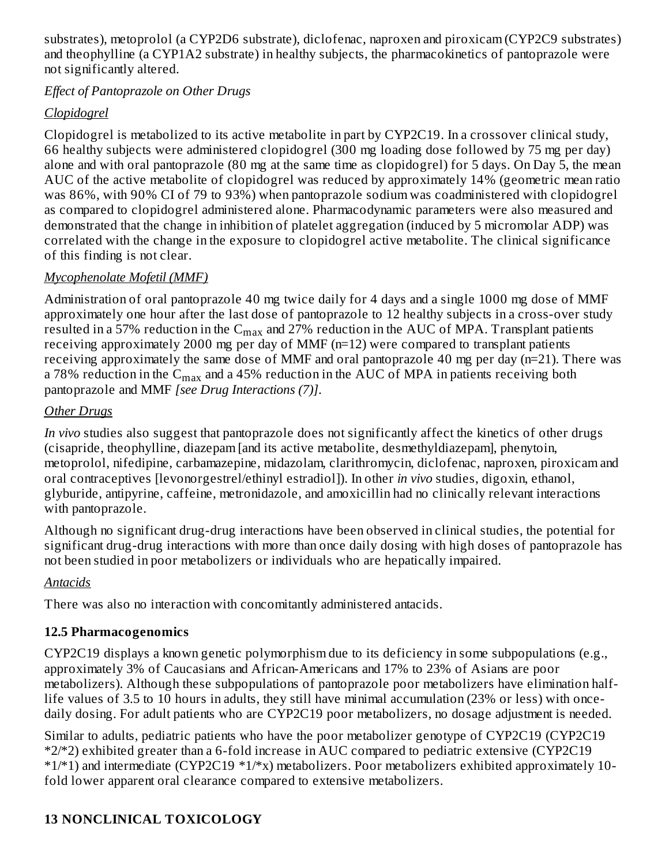substrates), metoprolol (a CYP2D6 substrate), diclofenac, naproxen and piroxicam (CYP2C9 substrates) and theophylline (a CYP1A2 substrate) in healthy subjects, the pharmacokinetics of pantoprazole were not significantly altered.

#### *Effect of Pantoprazole on Other Drugs*

## *Clopidogrel*

Clopidogrel is metabolized to its active metabolite in part by CYP2C19. In a crossover clinical study, 66 healthy subjects were administered clopidogrel (300 mg loading dose followed by 75 mg per day) alone and with oral pantoprazole (80 mg at the same time as clopidogrel) for 5 days. On Day 5, the mean AUC of the active metabolite of clopidogrel was reduced by approximately 14% (geometric mean ratio was 86%, with 90% CI of 79 to 93%) when pantoprazole sodium was coadministered with clopidogrel as compared to clopidogrel administered alone. Pharmacodynamic parameters were also measured and demonstrated that the change in inhibition of platelet aggregation (induced by 5 micromolar ADP) was correlated with the change in the exposure to clopidogrel active metabolite. The clinical significance of this finding is not clear.

## *Mycophenolate Mofetil (MMF)*

Administration of oral pantoprazole 40 mg twice daily for 4 days and a single 1000 mg dose of MMF approximately one hour after the last dose of pantoprazole to 12 healthy subjects in a cross-over study resulted in a 57% reduction in the  $\rm{C_{max}}$  and 27% reduction in the  $\rm{AUC}$  of MPA. Transplant patients receiving approximately 2000 mg per day of MMF (n=12) were compared to transplant patients receiving approximately the same dose of MMF and oral pantoprazole 40 mg per day (n=21). There was a 78% reduction in the  $\rm{C_{max}}$  and a 45% reduction in the AUC of MPA in patients receiving both pantoprazole and MMF *[see Drug Interactions (7)]*.

## *Other Drugs*

*In vivo* studies also suggest that pantoprazole does not significantly affect the kinetics of other drugs (cisapride, theophylline, diazepam [and its active metabolite, desmethyldiazepam], phenytoin, metoprolol, nifedipine, carbamazepine, midazolam, clarithromycin, diclofenac, naproxen, piroxicam and oral contraceptives [levonorgestrel/ethinyl estradiol]). In other *in vivo* studies, digoxin, ethanol, glyburide, antipyrine, caffeine, metronidazole, and amoxicillin had no clinically relevant interactions with pantoprazole.

Although no significant drug-drug interactions have been observed in clinical studies, the potential for significant drug-drug interactions with more than once daily dosing with high doses of pantoprazole has not been studied in poor metabolizers or individuals who are hepatically impaired.

# *Antacids*

There was also no interaction with concomitantly administered antacids.

# **12.5 Pharmacogenomics**

CYP2C19 displays a known genetic polymorphism due to its deficiency in some subpopulations (e.g., approximately 3% of Caucasians and African-Americans and 17% to 23% of Asians are poor metabolizers). Although these subpopulations of pantoprazole poor metabolizers have elimination halflife values of 3.5 to 10 hours in adults, they still have minimal accumulation (23% or less) with oncedaily dosing. For adult patients who are CYP2C19 poor metabolizers, no dosage adjustment is needed.

Similar to adults, pediatric patients who have the poor metabolizer genotype of CYP2C19 (CYP2C19 \*2/\*2) exhibited greater than a 6-fold increase in AUC compared to pediatric extensive (CYP2C19  $*1/41$ ) and intermediate (CYP2C19  $*1/*x$ ) metabolizers. Poor metabolizers exhibited approximately 10fold lower apparent oral clearance compared to extensive metabolizers.

# **13 NONCLINICAL TOXICOLOGY**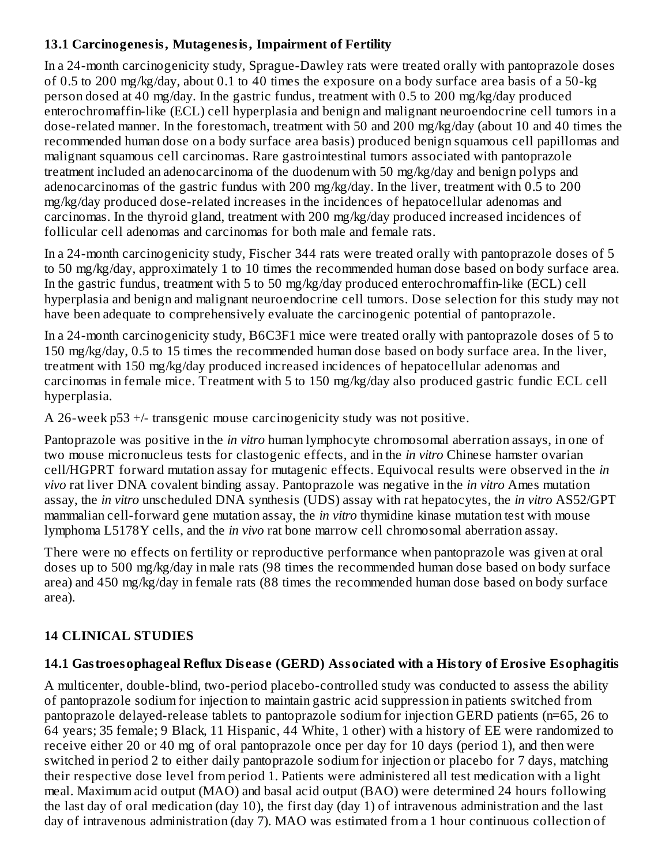#### **13.1 Carcinogenesis, Mutagenesis, Impairment of Fertility**

In a 24-month carcinogenicity study, Sprague-Dawley rats were treated orally with pantoprazole doses of 0.5 to 200 mg/kg/day, about 0.1 to 40 times the exposure on a body surface area basis of a 50-kg person dosed at 40 mg/day. In the gastric fundus, treatment with 0.5 to 200 mg/kg/day produced enterochromaffin-like (ECL) cell hyperplasia and benign and malignant neuroendocrine cell tumors in a dose-related manner. In the forestomach, treatment with 50 and 200 mg/kg/day (about 10 and 40 times the recommended human dose on a body surface area basis) produced benign squamous cell papillomas and malignant squamous cell carcinomas. Rare gastrointestinal tumors associated with pantoprazole treatment included an adenocarcinoma of the duodenum with 50 mg/kg/day and benign polyps and adenocarcinomas of the gastric fundus with 200 mg/kg/day. In the liver, treatment with 0.5 to 200 mg/kg/day produced dose-related increases in the incidences of hepatocellular adenomas and carcinomas. In the thyroid gland, treatment with 200 mg/kg/day produced increased incidences of follicular cell adenomas and carcinomas for both male and female rats.

In a 24-month carcinogenicity study, Fischer 344 rats were treated orally with pantoprazole doses of 5 to 50 mg/kg/day, approximately 1 to 10 times the recommended human dose based on body surface area. In the gastric fundus, treatment with 5 to 50 mg/kg/day produced enterochromaffin-like (ECL) cell hyperplasia and benign and malignant neuroendocrine cell tumors. Dose selection for this study may not have been adequate to comprehensively evaluate the carcinogenic potential of pantoprazole.

In a 24-month carcinogenicity study, B6C3F1 mice were treated orally with pantoprazole doses of 5 to 150 mg/kg/day, 0.5 to 15 times the recommended human dose based on body surface area. In the liver, treatment with 150 mg/kg/day produced increased incidences of hepatocellular adenomas and carcinomas in female mice. Treatment with 5 to 150 mg/kg/day also produced gastric fundic ECL cell hyperplasia.

A 26-week p53 +/- transgenic mouse carcinogenicity study was not positive.

Pantoprazole was positive in the *in vitro* human lymphocyte chromosomal aberration assays, in one of two mouse micronucleus tests for clastogenic effects, and in the *in vitro* Chinese hamster ovarian cell/HGPRT forward mutation assay for mutagenic effects. Equivocal results were observed in the *in vivo* rat liver DNA covalent binding assay. Pantoprazole was negative in the *in vitro* Ames mutation assay, the *in vitro* unscheduled DNA synthesis (UDS) assay with rat hepatocytes, the *in vitro* AS52/GPT mammalian cell-forward gene mutation assay, the *in vitro* thymidine kinase mutation test with mouse lymphoma L5178Y cells, and the *in vivo* rat bone marrow cell chromosomal aberration assay.

There were no effects on fertility or reproductive performance when pantoprazole was given at oral doses up to 500 mg/kg/day in male rats (98 times the recommended human dose based on body surface area) and 450 mg/kg/day in female rats (88 times the recommended human dose based on body surface area).

# **14 CLINICAL STUDIES**

## **14.1 Gastroesophageal Reflux Dis eas e (GERD) Associated with a History of Erosive Esophagitis**

A multicenter, double-blind, two-period placebo-controlled study was conducted to assess the ability of pantoprazole sodium for injection to maintain gastric acid suppression in patients switched from pantoprazole delayed-release tablets to pantoprazole sodium for injection GERD patients (n=65, 26 to 64 years; 35 female; 9 Black, 11 Hispanic, 44 White, 1 other) with a history of EE were randomized to receive either 20 or 40 mg of oral pantoprazole once per day for 10 days (period 1), and then were switched in period 2 to either daily pantoprazole sodium for injection or placebo for 7 days, matching their respective dose level from period 1. Patients were administered all test medication with a light meal. Maximum acid output (MAO) and basal acid output (BAO) were determined 24 hours following the last day of oral medication (day 10), the first day (day 1) of intravenous administration and the last day of intravenous administration (day 7). MAO was estimated from a 1 hour continuous collection of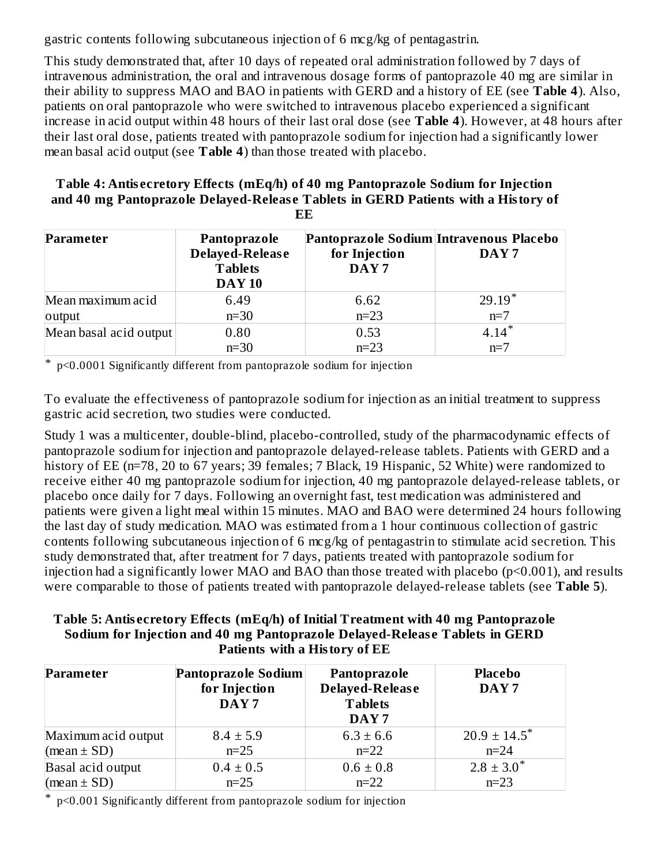gastric contents following subcutaneous injection of 6 mcg/kg of pentagastrin.

This study demonstrated that, after 10 days of repeated oral administration followed by 7 days of intravenous administration, the oral and intravenous dosage forms of pantoprazole 40 mg are similar in their ability to suppress MAO and BAO in patients with GERD and a history of EE (see **Table 4**). Also, patients on oral pantoprazole who were switched to intravenous placebo experienced a significant increase in acid output within 48 hours of their last oral dose (see **Table 4**). However, at 48 hours after their last oral dose, patients treated with pantoprazole sodium for injection had a significantly lower mean basal acid output (see **Table 4**) than those treated with placebo.

#### **Table 4: Antis ecretory Effects (mEq/h) of 40 mg Pantoprazole Sodium for Injection and 40 mg Pantoprazole Delayed-Releas e Tablets in GERD Patients with a History of EE**

| Parameter              | Pantoprazole<br>Delayed-Release<br><b>Tablets</b><br><b>DAY 10</b> | Pantoprazole Sodium Intravenous Placebo<br>for Injection<br>DAY <sub>7</sub> | DAY <sub>7</sub> |
|------------------------|--------------------------------------------------------------------|------------------------------------------------------------------------------|------------------|
| Mean maximum acid      | 6.49                                                               | 6.62                                                                         | $29.19*$         |
| output                 | $n=30$                                                             | $n=23$                                                                       | $n=7$            |
| Mean basal acid output | 0.80                                                               | 0.53                                                                         | $4.14*$          |
|                        | $n=30$                                                             | $n=23$                                                                       | $n=7$            |

\* p<0.0001 Significantly different from pantoprazole sodium for injection

To evaluate the effectiveness of pantoprazole sodium for injection as an initial treatment to suppress gastric acid secretion, two studies were conducted.

Study 1 was a multicenter, double-blind, placebo-controlled, study of the pharmacodynamic effects of pantoprazole sodium for injection and pantoprazole delayed-release tablets. Patients with GERD and a history of EE (n=78, 20 to 67 years; 39 females; 7 Black, 19 Hispanic, 52 White) were randomized to receive either 40 mg pantoprazole sodium for injection, 40 mg pantoprazole delayed-release tablets, or placebo once daily for 7 days. Following an overnight fast, test medication was administered and patients were given a light meal within 15 minutes. MAO and BAO were determined 24 hours following the last day of study medication. MAO was estimated from a 1 hour continuous collection of gastric contents following subcutaneous injection of 6 mcg/kg of pentagastrin to stimulate acid secretion. This study demonstrated that, after treatment for 7 days, patients treated with pantoprazole sodium for injection had a significantly lower MAO and BAO than those treated with placebo (p<0.001), and results were comparable to those of patients treated with pantoprazole delayed-release tablets (see **Table 5**).

#### **Table 5: Antis ecretory Effects (mEq/h) of Initial Treatment with 40 mg Pantoprazole Sodium for Injection and 40 mg Pantoprazole Delayed-Releas e Tablets in GERD Patients with a History of EE**

| <b>Parameter</b>    | Pantoprazole Sodium<br>for Injection<br>DAY <sub>7</sub> | Pantoprazole<br>Delayed-Release<br><b>Tablets</b><br>DAY <sub>7</sub> | <b>Placebo</b><br>DAY <sub>7</sub> |
|---------------------|----------------------------------------------------------|-----------------------------------------------------------------------|------------------------------------|
| Maximum acid output | $8.4 \pm 5.9$                                            | $6.3 \pm 6.6$                                                         | $20.9 \pm 14.5$ <sup>*</sup>       |
| (mean $\pm$ SD)     | $n=25$                                                   | $n=22$                                                                | $n = 24$                           |
| Basal acid output   | $0.4 \pm 0.5$                                            | $0.6 \pm 0.8$                                                         | $2.8 \pm 3.0^*$                    |
| (mean $\pm$ SD)     | $n=25$                                                   | $n=22$                                                                | $n=23$                             |

\* p<0.001 Significantly different from pantoprazole sodium for injection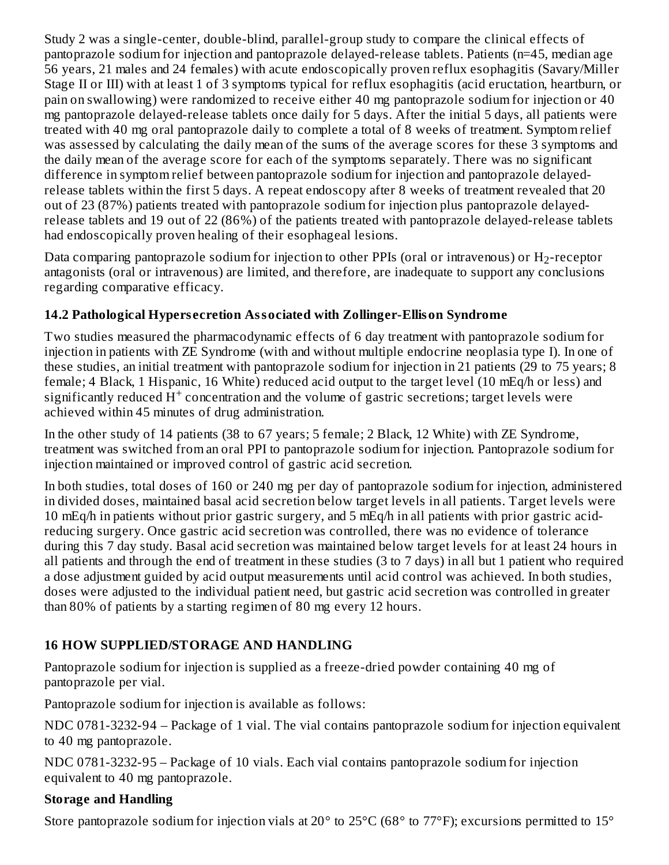Study 2 was a single-center, double-blind, parallel-group study to compare the clinical effects of pantoprazole sodium for injection and pantoprazole delayed-release tablets. Patients (n=45, median age 56 years, 21 males and 24 females) with acute endoscopically proven reflux esophagitis (Savary/Miller Stage II or III) with at least 1 of 3 symptoms typical for reflux esophagitis (acid eructation, heartburn, or pain on swallowing) were randomized to receive either 40 mg pantoprazole sodium for injection or 40 mg pantoprazole delayed-release tablets once daily for 5 days. After the initial 5 days, all patients were treated with 40 mg oral pantoprazole daily to complete a total of 8 weeks of treatment. Symptom relief was assessed by calculating the daily mean of the sums of the average scores for these 3 symptoms and the daily mean of the average score for each of the symptoms separately. There was no significant difference in symptom relief between pantoprazole sodium for injection and pantoprazole delayedrelease tablets within the first 5 days. A repeat endoscopy after 8 weeks of treatment revealed that 20 out of 23 (87%) patients treated with pantoprazole sodium for injection plus pantoprazole delayedrelease tablets and 19 out of 22 (86%) of the patients treated with pantoprazole delayed-release tablets had endoscopically proven healing of their esophageal lesions.

Data comparing pantoprazole sodium for injection to other PPIs (oral or intravenous) or  $\rm H_2$ -receptor antagonists (oral or intravenous) are limited, and therefore, are inadequate to support any conclusions regarding comparative efficacy.

# **14.2 Pathological Hypers ecretion Associated with Zollinger-Ellison Syndrome**

Two studies measured the pharmacodynamic effects of 6 day treatment with pantoprazole sodium for injection in patients with ZE Syndrome (with and without multiple endocrine neoplasia type I). In one of these studies, an initial treatment with pantoprazole sodium for injection in 21 patients (29 to 75 years; 8 female; 4 Black, 1 Hispanic, 16 White) reduced acid output to the target level (10 mEq/h or less) and significantly reduced  $\dot{H}^+$  concentration and the volume of gastric secretions; target levels were achieved within 45 minutes of drug administration.

In the other study of 14 patients (38 to 67 years; 5 female; 2 Black, 12 White) with ZE Syndrome, treatment was switched from an oral PPI to pantoprazole sodium for injection. Pantoprazole sodium for injection maintained or improved control of gastric acid secretion.

In both studies, total doses of 160 or 240 mg per day of pantoprazole sodium for injection, administered in divided doses, maintained basal acid secretion below target levels in all patients. Target levels were 10 mEq/h in patients without prior gastric surgery, and 5 mEq/h in all patients with prior gastric acidreducing surgery. Once gastric acid secretion was controlled, there was no evidence of tolerance during this 7 day study. Basal acid secretion was maintained below target levels for at least 24 hours in all patients and through the end of treatment in these studies (3 to 7 days) in all but 1 patient who required a dose adjustment guided by acid output measurements until acid control was achieved. In both studies, doses were adjusted to the individual patient need, but gastric acid secretion was controlled in greater than 80% of patients by a starting regimen of 80 mg every 12 hours.

## **16 HOW SUPPLIED/STORAGE AND HANDLING**

Pantoprazole sodium for injection is supplied as a freeze-dried powder containing 40 mg of pantoprazole per vial.

Pantoprazole sodium for injection is available as follows:

NDC 0781-3232-94 – Package of 1 vial. The vial contains pantoprazole sodium for injection equivalent to 40 mg pantoprazole.

NDC 0781-3232-95 – Package of 10 vials. Each vial contains pantoprazole sodium for injection equivalent to 40 mg pantoprazole.

## **Storage and Handling**

Store pantoprazole sodium for injection vials at 20° to 25°C (68° to 77°F); excursions permitted to 15°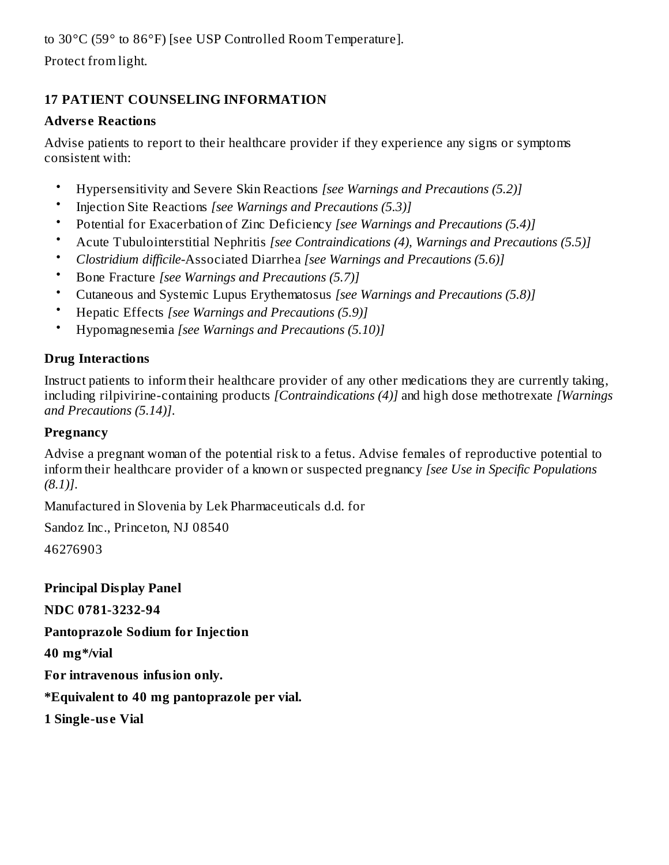Protect from light.

# **17 PATIENT COUNSELING INFORMATION**

#### **Advers e Reactions**

Advise patients to report to their healthcare provider if they experience any signs or symptoms consistent with:

- Hypersensitivity and Severe Skin Reactions *[see Warnings and Precautions (5.2)]*
- Injection Site Reactions *[see Warnings and Precautions (5.3)]*
- Potential for Exacerbation of Zinc Deficiency *[see Warnings and Precautions (5.4)]*
- Acute Tubulointerstitial Nephritis *[see Contraindications (4), Warnings and Precautions (5.5)]*
- *Clostridium difficile-*Associated Diarrhea *[see Warnings and Precautions (5.6)]*
- Bone Fracture *[see Warnings and Precautions (5.7)]*
- Cutaneous and Systemic Lupus Erythematosus *[see Warnings and Precautions (5.8)]*
- Hepatic Effects *[see Warnings and Precautions (5.9)]*
- Hypomagnesemia *[see Warnings and Precautions (5.10)]*

## **Drug Interactions**

Instruct patients to inform their healthcare provider of any other medications they are currently taking, including rilpivirine-containing products *[Contraindications (4)]* and high dose methotrexate *[Warnings and Precautions (5.14)]*.

## **Pregnancy**

Advise a pregnant woman of the potential risk to a fetus. Advise females of reproductive potential to inform their healthcare provider of a known or suspected pregnancy *[see Use in Specific Populations (8.1)]*.

Manufactured in Slovenia by Lek Pharmaceuticals d.d. for

Sandoz Inc., Princeton, NJ 08540 46276903

**Principal Display Panel NDC 0781-3232-94 Pantoprazole Sodium for Injection 40 mg\*/vial For intravenous infusion only. \*Equivalent to 40 mg pantoprazole per vial.**

**1 Single-us e Vial**